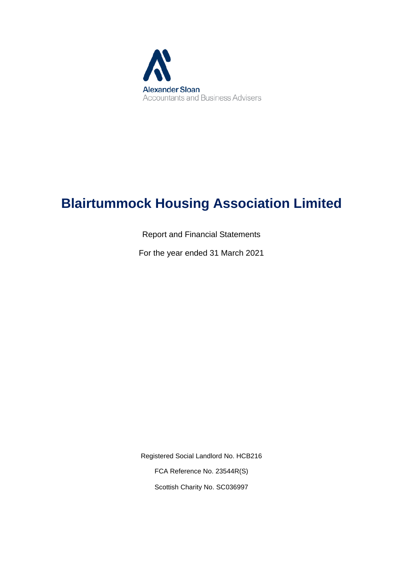

# **Blairtummock Housing Association Limited**

Report and Financial Statements

For the year ended 31 March 2021

Registered Social Landlord No. HCB216 FCA Reference No. 23544R(S) Scottish Charity No. SC036997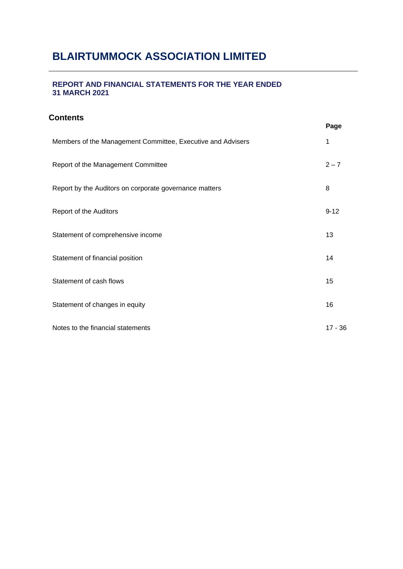# **BLAIRTUMMOCK ASSOCIATION LIMITED**

# **REPORT AND FINANCIAL STATEMENTS FOR THE YEAR ENDED 31 MARCH 2021**

# **Contents**

|                                                             | Page      |
|-------------------------------------------------------------|-----------|
| Members of the Management Committee, Executive and Advisers | 1         |
| Report of the Management Committee                          | $2 - 7$   |
| Report by the Auditors on corporate governance matters      | 8         |
| Report of the Auditors                                      | $9 - 12$  |
| Statement of comprehensive income                           | 13        |
| Statement of financial position                             | 14        |
| Statement of cash flows                                     | 15        |
| Statement of changes in equity                              | 16        |
| Notes to the financial statements                           | $17 - 36$ |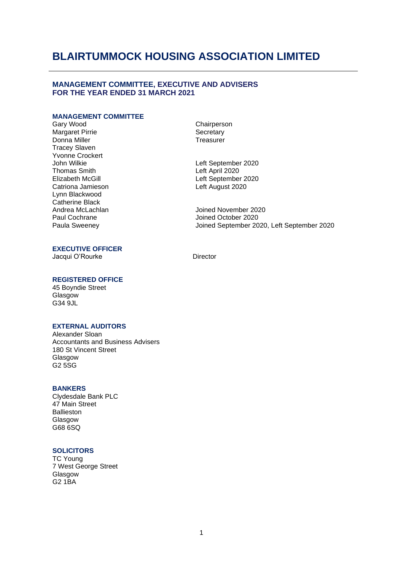## **MANAGEMENT COMMITTEE, EXECUTIVE AND ADVISERS FOR THE YEAR ENDED 31 MARCH 2021**

# **MANAGEMENT COMMITTEE**

Margaret Pirrie Donna Miller **Treasurer** Treasurer Tracey Slaven Yvonne Crockert<br>John Wilkie John Wilkie<br>
Thomas Smith **Example 2020**<br>
Left April 2020 Lynn Blackwood Catherine Black Andrea McLachlan Paul Cochrane Paula Sweeney

Chairperson<br>Secretary

Left April 2020 Elizabeth McGill<br>Catriona Jamieson Catriona Catriona Catriona Catriona Catrional Catrional Catrional Computer Catrional Catrio<br>Left August 2020 Left August 2020

> Joined November 2020 Joined October 2020 Joined September 2020, Left September 2020

### **EXECUTIVE OFFICER**

Jacqui O'Rourke Director

## **REGISTERED OFFICE**

45 Boyndie Street **Glasgow** G34 9JL

## **EXTERNAL AUDITORS**

Alexander Sloan Accountants and Business Advisers 180 St Vincent Street Glasgow G2 5SG

### **BANKERS**

Clydesdale Bank PLC 47 Main Street Ballieston Glasgow G68 6SQ

### **SOLICITORS**

 TC Young 7 West George Street **Glasgow** G2 1BA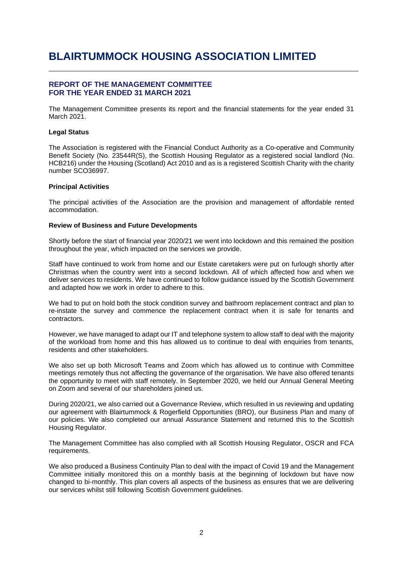## **REPORT OF THE MANAGEMENT COMMITTEE FOR THE YEAR ENDED 31 MARCH 2021**

The Management Committee presents its report and the financial statements for the year ended 31 March 2021.

#### **Legal Status**

The Association is registered with the Financial Conduct Authority as a Co-operative and Community Benefit Society (No. 23544R(S), the Scottish Housing Regulator as a registered social landlord (No. HCB216) under the Housing (Scotland) Act 2010 and as is a registered Scottish Charity with the charity number SCO36997.

#### **Principal Activities**

The principal activities of the Association are the provision and management of affordable rented accommodation.

### **Review of Business and Future Developments**

Shortly before the start of financial year 2020/21 we went into lockdown and this remained the position throughout the year, which impacted on the services we provide.

Staff have continued to work from home and our Estate caretakers were put on furlough shortly after Christmas when the country went into a second lockdown. All of which affected how and when we deliver services to residents. We have continued to follow guidance issued by the Scottish Government and adapted how we work in order to adhere to this.

We had to put on hold both the stock condition survey and bathroom replacement contract and plan to re-instate the survey and commence the replacement contract when it is safe for tenants and contractors.

However, we have managed to adapt our IT and telephone system to allow staff to deal with the majority of the workload from home and this has allowed us to continue to deal with enquiries from tenants, residents and other stakeholders.

We also set up both Microsoft Teams and Zoom which has allowed us to continue with Committee meetings remotely thus not affecting the governance of the organisation. We have also offered tenants the opportunity to meet with staff remotely. In September 2020, we held our Annual General Meeting on Zoom and several of our shareholders joined us.

During 2020/21, we also carried out a Governance Review, which resulted in us reviewing and updating our agreement with Blairtummock & Rogerfield Opportunities (BRO), our Business Plan and many of our policies. We also completed our annual Assurance Statement and returned this to the Scottish Housing Regulator.

The Management Committee has also complied with all Scottish Housing Regulator, OSCR and FCA requirements.

We also produced a Business Continuity Plan to deal with the impact of Covid 19 and the Management Committee initially monitored this on a monthly basis at the beginning of lockdown but have now changed to bi-monthly. This plan covers all aspects of the business as ensures that we are delivering our services whilst still following Scottish Government guidelines.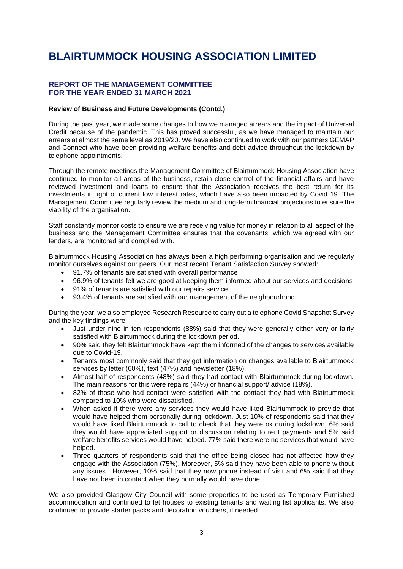# **REPORT OF THE MANAGEMENT COMMITTEE FOR THE YEAR ENDED 31 MARCH 2021**

### **Review of Business and Future Developments (Contd.)**

During the past year, we made some changes to how we managed arrears and the impact of Universal Credit because of the pandemic. This has proved successful, as we have managed to maintain our arrears at almost the same level as 2019/20. We have also continued to work with our partners GEMAP and Connect who have been providing welfare benefits and debt advice throughout the lockdown by telephone appointments.

Through the remote meetings the Management Committee of Blairtummock Housing Association have continued to monitor all areas of the business, retain close control of the financial affairs and have reviewed investment and loans to ensure that the Association receives the best return for its investments in light of current low interest rates, which have also been impacted by Covid 19. The Management Committee regularly review the medium and long-term financial projections to ensure the viability of the organisation.

Staff constantly monitor costs to ensure we are receiving value for money in relation to all aspect of the business and the Management Committee ensures that the covenants, which we agreed with our lenders, are monitored and complied with.

Blairtummock Housing Association has always been a high performing organisation and we regularly monitor ourselves against our peers. Our most recent Tenant Satisfaction Survey showed:

- 91.7% of tenants are satisfied with overall performance
- 96.9% of tenants felt we are good at keeping them informed about our services and decisions
- 91% of tenants are satisfied with our repairs service
- 93.4% of tenants are satisfied with our management of the neighbourhood.

During the year, we also employed Research Resource to carry out a telephone Covid Snapshot Survey and the key findings were:

- Just under nine in ten respondents (88%) said that they were generally either very or fairly satisfied with Blairtummock during the lockdown period.
- 90% said they felt Blairtummock have kept them informed of the changes to services available due to Covid-19.
- Tenants most commonly said that they got information on changes available to Blairtummock services by letter (60%), text (47%) and newsletter (18%).
- Almost half of respondents (48%) said they had contact with Blairtummock during lockdown. The main reasons for this were repairs (44%) or financial support/ advice (18%).
- 82% of those who had contact were satisfied with the contact they had with Blairtummock compared to 10% who were dissatisfied.
- When asked if there were any services they would have liked Blairtummock to provide that would have helped them personally during lockdown. Just 10% of respondents said that they would have liked Blairtummock to call to check that they were ok during lockdown, 6% said they would have appreciated support or discussion relating to rent payments and 5% said welfare benefits services would have helped. 77% said there were no services that would have helped.
- Three quarters of respondents said that the office being closed has not affected how they engage with the Association (75%). Moreover, 5% said they have been able to phone without any issues. However, 10% said that they now phone instead of visit and 6% said that they have not been in contact when they normally would have done.

We also provided Glasgow City Council with some properties to be used as Temporary Furnished accommodation and continued to let houses to existing tenants and waiting list applicants. We also continued to provide starter packs and decoration vouchers, if needed.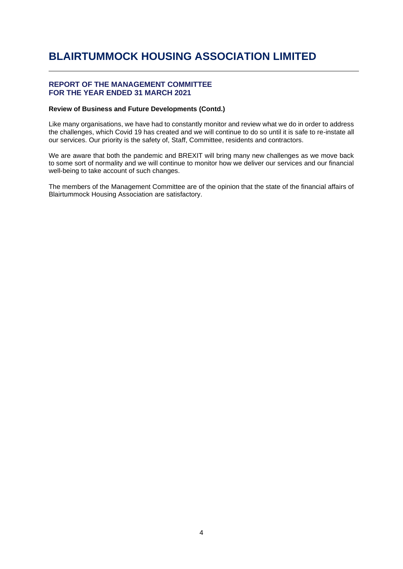## **REPORT OF THE MANAGEMENT COMMITTEE FOR THE YEAR ENDED 31 MARCH 2021**

### **Review of Business and Future Developments (Contd.)**

Like many organisations, we have had to constantly monitor and review what we do in order to address the challenges, which Covid 19 has created and we will continue to do so until it is safe to re-instate all our services. Our priority is the safety of, Staff, Committee, residents and contractors.

We are aware that both the pandemic and BREXIT will bring many new challenges as we move back to some sort of normality and we will continue to monitor how we deliver our services and our financial well-being to take account of such changes.

The members of the Management Committee are of the opinion that the state of the financial affairs of Blairtummock Housing Association are satisfactory.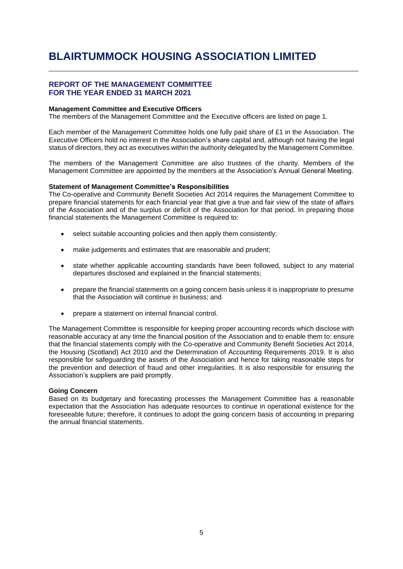## **REPORT OF THE MANAGEMENT COMMITTEE FOR THE YEAR ENDED 31 MARCH 2021**

### **Management Committee and Executive Officers**

The members of the Management Committee and the Executive officers are listed on page 1.

Each member of the Management Committee holds one fully paid share of £1 in the Association. The Executive Officers hold no interest in the Association's share capital and, although not having the legal status of directors, they act as executives within the authority delegated by the Management Committee.

The members of the Management Committee are also trustees of the charity. Members of the Management Committee are appointed by the members at the Association's Annual General Meeting.

#### **Statement of Management Committee's Responsibilities**

The Co-operative and Community Benefit Societies Act 2014 requires the Management Committee to prepare financial statements for each financial year that give a true and fair view of the state of affairs of the Association and of the surplus or deficit of the Association for that period. In preparing those financial statements the Management Committee is required to:

- select suitable accounting policies and then apply them consistently;
- make judgements and estimates that are reasonable and prudent;
- state whether applicable accounting standards have been followed, subject to any material departures disclosed and explained in the financial statements;
- prepare the financial statements on a going concern basis unless it is inappropriate to presume that the Association will continue in business; and
- prepare a statement on internal financial control.

The Management Committee is responsible for keeping proper accounting records which disclose with reasonable accuracy at any time the financial position of the Association and to enable them to: ensure that the financial statements comply with the Co-operative and Community Benefit Societies Act 2014, the Housing (Scotland) Act 2010 and the Determination of Accounting Requirements 2019. It is also responsible for safeguarding the assets of the Association and hence for taking reasonable steps for the prevention and detection of fraud and other irregularities. It is also responsible for ensuring the Association's suppliers are paid promptly.

#### **Going Concern**

Based on its budgetary and forecasting processes the Management Committee has a reasonable expectation that the Association has adequate resources to continue in operational existence for the foreseeable future; therefore, it continues to adopt the going concern basis of accounting in preparing the annual financial statements.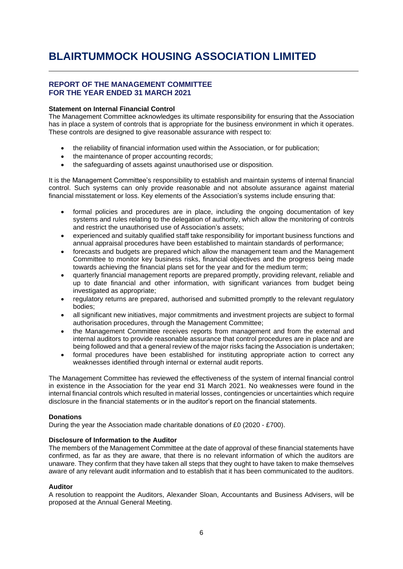## **REPORT OF THE MANAGEMENT COMMITTEE FOR THE YEAR ENDED 31 MARCH 2021**

### **Statement on Internal Financial Control**

The Management Committee acknowledges its ultimate responsibility for ensuring that the Association has in place a system of controls that is appropriate for the business environment in which it operates. These controls are designed to give reasonable assurance with respect to:

- the reliability of financial information used within the Association, or for publication;
- the maintenance of proper accounting records;
- the safeguarding of assets against unauthorised use or disposition.

It is the Management Committee's responsibility to establish and maintain systems of internal financial control. Such systems can only provide reasonable and not absolute assurance against material financial misstatement or loss. Key elements of the Association's systems include ensuring that:

- formal policies and procedures are in place, including the ongoing documentation of key systems and rules relating to the delegation of authority, which allow the monitoring of controls and restrict the unauthorised use of Association's assets;
- experienced and suitably qualified staff take responsibility for important business functions and annual appraisal procedures have been established to maintain standards of performance;
- forecasts and budgets are prepared which allow the management team and the Management Committee to monitor key business risks, financial objectives and the progress being made towards achieving the financial plans set for the year and for the medium term;
- quarterly financial management reports are prepared promptly, providing relevant, reliable and up to date financial and other information, with significant variances from budget being investigated as appropriate;
- regulatory returns are prepared, authorised and submitted promptly to the relevant regulatory bodies;
- all significant new initiatives, major commitments and investment projects are subject to formal authorisation procedures, through the Management Committee;
- the Management Committee receives reports from management and from the external and internal auditors to provide reasonable assurance that control procedures are in place and are being followed and that a general review of the major risks facing the Association is undertaken;
- formal procedures have been established for instituting appropriate action to correct any weaknesses identified through internal or external audit reports.

The Management Committee has reviewed the effectiveness of the system of internal financial control in existence in the Association for the year end 31 March 2021. No weaknesses were found in the internal financial controls which resulted in material losses, contingencies or uncertainties which require disclosure in the financial statements or in the auditor's report on the financial statements.

#### **Donations**

During the year the Association made charitable donations of £0 (2020 - £700).

### **Disclosure of Information to the Auditor**

The members of the Management Committee at the date of approval of these financial statements have confirmed, as far as they are aware, that there is no relevant information of which the auditors are unaware. They confirm that they have taken all steps that they ought to have taken to make themselves aware of any relevant audit information and to establish that it has been communicated to the auditors.

#### **Auditor**

A resolution to reappoint the Auditors, Alexander Sloan, Accountants and Business Advisers, will be proposed at the Annual General Meeting.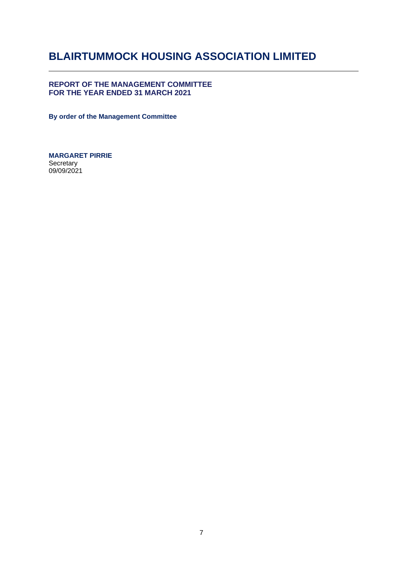# **REPORT OF THE MANAGEMENT COMMITTEE FOR THE YEAR ENDED 31 MARCH 2021**

**By order of the Management Committee**

**MARGARET PIRRIE Secretary** 09/09/2021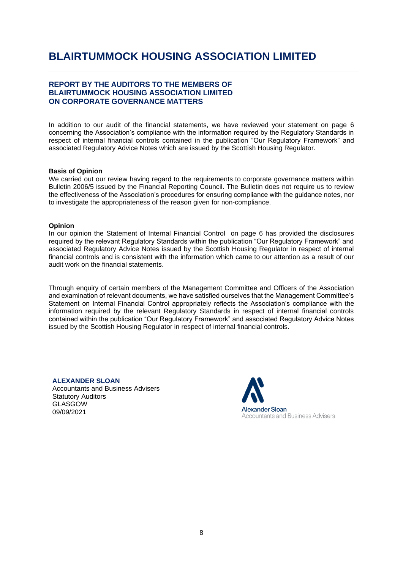# **REPORT BY THE AUDITORS TO THE MEMBERS OF BLAIRTUMMOCK HOUSING ASSOCIATION LIMITED ON CORPORATE GOVERNANCE MATTERS**

In addition to our audit of the financial statements, we have reviewed your statement on page 6 concerning the Association's compliance with the information required by the Regulatory Standards in respect of internal financial controls contained in the publication "Our Regulatory Framework" and associated Regulatory Advice Notes which are issued by the Scottish Housing Regulator.

### **Basis of Opinion**

We carried out our review having regard to the requirements to corporate governance matters within Bulletin 2006/5 issued by the Financial Reporting Council. The Bulletin does not require us to review the effectiveness of the Association's procedures for ensuring compliance with the guidance notes, nor to investigate the appropriateness of the reason given for non-compliance.

### **Opinion**

In our opinion the Statement of Internal Financial Control on page 6 has provided the disclosures required by the relevant Regulatory Standards within the publication "Our Regulatory Framework" and associated Regulatory Advice Notes issued by the Scottish Housing Regulator in respect of internal financial controls and is consistent with the information which came to our attention as a result of our audit work on the financial statements.

Through enquiry of certain members of the Management Committee and Officers of the Association and examination of relevant documents, we have satisfied ourselves that the Management Committee's Statement on Internal Financial Control appropriately reflects the Association's compliance with the information required by the relevant Regulatory Standards in respect of internal financial controls contained within the publication "Our Regulatory Framework" and associated Regulatory Advice Notes issued by the Scottish Housing Regulator in respect of internal financial controls.

### **ALEXANDER SLOAN**

Accountants and Business Advisers Statutory Auditors GLASGOW 09/09/2021

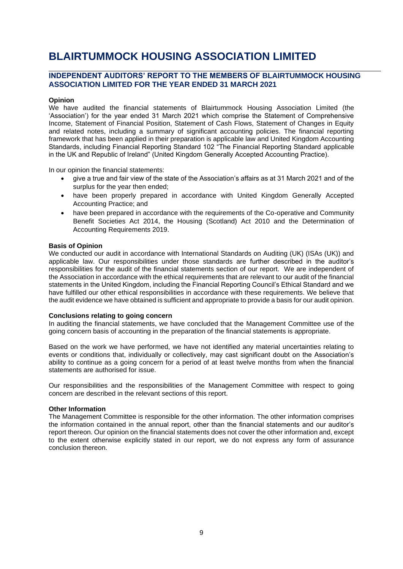# **INDEPENDENT AUDITORS' REPORT TO THE MEMBERS OF BLAIRTUMMOCK HOUSING ASSOCIATION LIMITED FOR THE YEAR ENDED 31 MARCH 2021**

### **Opinion**

We have audited the financial statements of Blairtummock Housing Association Limited (the 'Association') for the year ended 31 March 2021 which comprise the Statement of Comprehensive Income, Statement of Financial Position, Statement of Cash Flows, Statement of Changes in Equity and related notes, including a summary of significant accounting policies. The financial reporting framework that has been applied in their preparation is applicable law and United Kingdom Accounting Standards, including Financial Reporting Standard 102 "The Financial Reporting Standard applicable in the UK and Republic of Ireland" (United Kingdom Generally Accepted Accounting Practice).

In our opinion the financial statements:

- give a true and fair view of the state of the Association's affairs as at 31 March 2021 and of the surplus for the year then ended;
- have been properly prepared in accordance with United Kingdom Generally Accepted Accounting Practice; and
- have been prepared in accordance with the requirements of the Co-operative and Community Benefit Societies Act 2014, the Housing (Scotland) Act 2010 and the Determination of Accounting Requirements 2019.

#### **Basis of Opinion**

We conducted our audit in accordance with International Standards on Auditing (UK) (ISAs (UK)) and applicable law. Our responsibilities under those standards are further described in the auditor's responsibilities for the audit of the financial statements section of our report. We are independent of the Association in accordance with the ethical requirements that are relevant to our audit of the financial statements in the United Kingdom, including the Financial Reporting Council's Ethical Standard and we have fulfilled our other ethical responsibilities in accordance with these requirements. We believe that the audit evidence we have obtained is sufficient and appropriate to provide a basis for our audit opinion.

#### **Conclusions relating to going concern**

In auditing the financial statements, we have concluded that the Management Committee use of the going concern basis of accounting in the preparation of the financial statements is appropriate.

Based on the work we have performed, we have not identified any material uncertainties relating to events or conditions that, individually or collectively, may cast significant doubt on the Association's ability to continue as a going concern for a period of at least twelve months from when the financial statements are authorised for issue.

Our responsibilities and the responsibilities of the Management Committee with respect to going concern are described in the relevant sections of this report.

#### **Other Information**

The Management Committee is responsible for the other information. The other information comprises the information contained in the annual report, other than the financial statements and our auditor's report thereon. Our opinion on the financial statements does not cover the other information and, except to the extent otherwise explicitly stated in our report, we do not express any form of assurance conclusion thereon.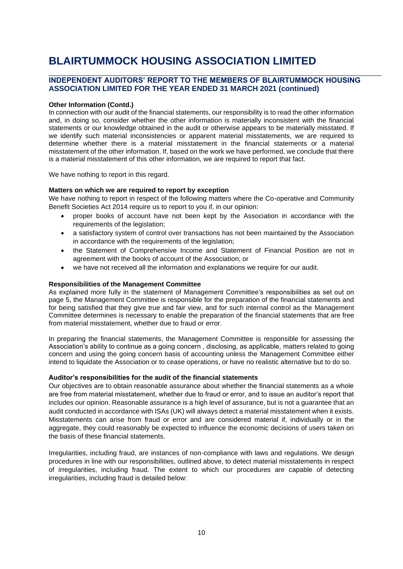# **INDEPENDENT AUDITORS' REPORT TO THE MEMBERS OF BLAIRTUMMOCK HOUSING ASSOCIATION LIMITED FOR THE YEAR ENDED 31 MARCH 2021 (continued)**

#### **Other Information (Contd.)**

In connection with our audit of the financial statements, our responsibility is to read the other information and, in doing so, consider whether the other information is materially inconsistent with the financial statements or our knowledge obtained in the audit or otherwise appears to be materially misstated. If we identify such material inconsistencies or apparent material misstatements, we are required to determine whether there is a material misstatement in the financial statements or a material misstatement of the other information. If, based on the work we have performed, we conclude that there is a material misstatement of this other information, we are required to report that fact.

We have nothing to report in this regard.

### **Matters on which we are required to report by exception**

We have nothing to report in respect of the following matters where the Co-operative and Community Benefit Societies Act 2014 require us to report to you if, in our opinion:

- proper books of account have not been kept by the Association in accordance with the requirements of the legislation;
- a satisfactory system of control over transactions has not been maintained by the Association in accordance with the requirements of the legislation;
- the Statement of Comprehensive Income and Statement of Financial Position are not in agreement with the books of account of the Association; or
- we have not received all the information and explanations we require for our audit.

#### **Responsibilities of the Management Committee**

As explained more fully in the statement of Management Committee's responsibilities as set out on page 5, the Management Committee is responsible for the preparation of the financial statements and for being satisfied that they give true and fair view, and for such internal control as the Management Committee determines is necessary to enable the preparation of the financial statements that are free from material misstatement, whether due to fraud or error.

In preparing the financial statements, the Management Committee is responsible for assessing the Association's ability to continue as a going concern , disclosing, as applicable, matters related to going concern and using the going concern basis of accounting unless the Management Committee either intend to liquidate the Association or to cease operations, or have no realistic alternative but to do so.

#### **Auditor's responsibilities for the audit of the financial statements**

Our objectives are to obtain reasonable assurance about whether the financial statements as a whole are free from material misstatement, whether due to fraud or error, and to issue an auditor's report that includes our opinion. Reasonable assurance is a high level of assurance, but is not a guarantee that an audit conducted in accordance with ISAs (UK) will always detect a material misstatement when it exists. Misstatements can arise from fraud or error and are considered material if, individually or in the aggregate, they could reasonably be expected to influence the economic decisions of users taken on the basis of these financial statements.

Irregularities, including fraud, are instances of non-compliance with laws and regulations. We design procedures in line with our responsibilities, outlined above, to detect material misstatements in respect of irregularities, including fraud. The extent to which our procedures are capable of detecting irregularities, including fraud is detailed below: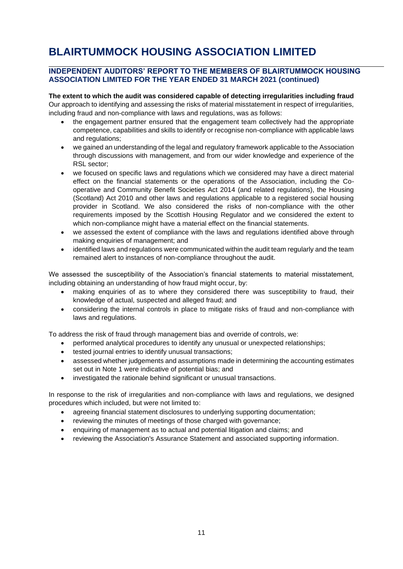# **INDEPENDENT AUDITORS' REPORT TO THE MEMBERS OF BLAIRTUMMOCK HOUSING ASSOCIATION LIMITED FOR THE YEAR ENDED 31 MARCH 2021 (continued)**

**The extent to which the audit was considered capable of detecting irregularities including fraud** Our approach to identifying and assessing the risks of material misstatement in respect of irregularities, including fraud and non-compliance with laws and regulations, was as follows:

- the engagement partner ensured that the engagement team collectively had the appropriate competence, capabilities and skills to identify or recognise non-compliance with applicable laws and regulations;
- we gained an understanding of the legal and regulatory framework applicable to the Association through discussions with management, and from our wider knowledge and experience of the RSL sector;
- we focused on specific laws and regulations which we considered may have a direct material effect on the financial statements or the operations of the Association, including the Cooperative and Community Benefit Societies Act 2014 (and related regulations), the Housing (Scotland) Act 2010 and other laws and regulations applicable to a registered social housing provider in Scotland. We also considered the risks of non-compliance with the other requirements imposed by the Scottish Housing Regulator and we considered the extent to which non-compliance might have a material effect on the financial statements.
- we assessed the extent of compliance with the laws and regulations identified above through making enquiries of management; and
- identified laws and regulations were communicated within the audit team regularly and the team remained alert to instances of non-compliance throughout the audit.

We assessed the susceptibility of the Association's financial statements to material misstatement, including obtaining an understanding of how fraud might occur, by:

- making enquiries of as to where they considered there was susceptibility to fraud, their knowledge of actual, suspected and alleged fraud; and
- considering the internal controls in place to mitigate risks of fraud and non-compliance with laws and regulations.

To address the risk of fraud through management bias and override of controls, we:

- performed analytical procedures to identify any unusual or unexpected relationships;
- tested journal entries to identify unusual transactions;
- assessed whether judgements and assumptions made in determining the accounting estimates set out in Note 1 were indicative of potential bias; and
- investigated the rationale behind significant or unusual transactions.

In response to the risk of irregularities and non-compliance with laws and regulations, we designed procedures which included, but were not limited to:

- agreeing financial statement disclosures to underlying supporting documentation;
- reviewing the minutes of meetings of those charged with governance:
- enquiring of management as to actual and potential litigation and claims; and
- reviewing the Association's Assurance Statement and associated supporting information.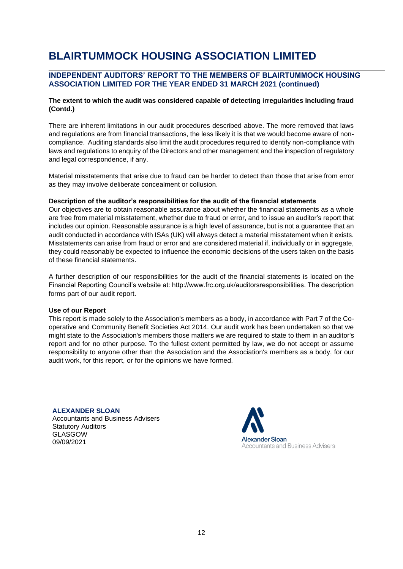# **INDEPENDENT AUDITORS' REPORT TO THE MEMBERS OF BLAIRTUMMOCK HOUSING ASSOCIATION LIMITED FOR THE YEAR ENDED 31 MARCH 2021 (continued)**

## **The extent to which the audit was considered capable of detecting irregularities including fraud (Contd.)**

There are inherent limitations in our audit procedures described above. The more removed that laws and regulations are from financial transactions, the less likely it is that we would become aware of noncompliance. Auditing standards also limit the audit procedures required to identify non-compliance with laws and regulations to enquiry of the Directors and other management and the inspection of regulatory and legal correspondence, if any.

Material misstatements that arise due to fraud can be harder to detect than those that arise from error as they may involve deliberate concealment or collusion.

#### **Description of the auditor's responsibilities for the audit of the financial statements**

Our objectives are to obtain reasonable assurance about whether the financial statements as a whole are free from material misstatement, whether due to fraud or error, and to issue an auditor's report that includes our opinion. Reasonable assurance is a high level of assurance, but is not a guarantee that an audit conducted in accordance with ISAs (UK) will always detect a material misstatement when it exists. Misstatements can arise from fraud or error and are considered material if, individually or in aggregate, they could reasonably be expected to influence the economic decisions of the users taken on the basis of these financial statements.

A further description of our responsibilities for the audit of the financial statements is located on the Financial Reporting Council's website at: http://www.frc.org.uk/auditorsresponsibilities. The description forms part of our audit report.

#### **Use of our Report**

This report is made solely to the Association's members as a body, in accordance with Part 7 of the Cooperative and Community Benefit Societies Act 2014. Our audit work has been undertaken so that we might state to the Association's members those matters we are required to state to them in an auditor's report and for no other purpose. To the fullest extent permitted by law, we do not accept or assume responsibility to anyone other than the Association and the Association's members as a body, for our audit work, for this report, or for the opinions we have formed.

#### **ALEXANDER SLOAN**

Accountants and Business Advisers Statutory Auditors GLASGOW 09/09/2021

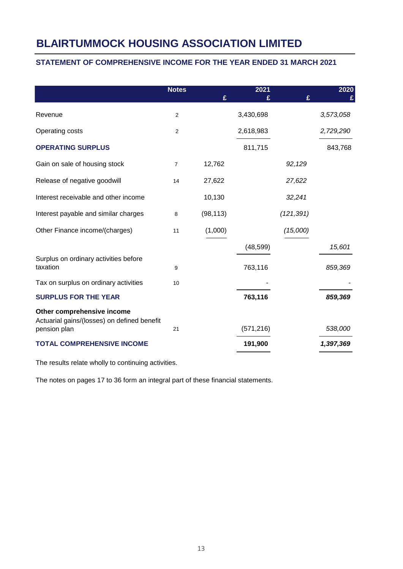# **STATEMENT OF COMPREHENSIVE INCOME FOR THE YEAR ENDED 31 MARCH 2021**

|                                                                                           | <b>Notes</b>   | £         | 2021<br>£  | £          | 2020      |
|-------------------------------------------------------------------------------------------|----------------|-----------|------------|------------|-----------|
| Revenue                                                                                   | $\overline{2}$ |           | 3,430,698  |            | 3,573,058 |
| Operating costs                                                                           | 2              |           | 2,618,983  |            | 2,729,290 |
| <b>OPERATING SURPLUS</b>                                                                  |                |           | 811,715    |            | 843,768   |
| Gain on sale of housing stock                                                             | $\overline{7}$ | 12,762    |            | 92,129     |           |
| Release of negative goodwill                                                              | 14             | 27,622    |            | 27,622     |           |
| Interest receivable and other income                                                      |                | 10,130    |            | 32,241     |           |
| Interest payable and similar charges                                                      | 8              | (98, 113) |            | (121, 391) |           |
| Other Finance income/(charges)                                                            | 11             | (1,000)   |            | (15,000)   |           |
|                                                                                           |                |           | (48, 599)  |            | 15,601    |
| Surplus on ordinary activities before<br>taxation                                         | 9              |           | 763,116    |            | 859,369   |
| Tax on surplus on ordinary activities                                                     | 10             |           |            |            |           |
| <b>SURPLUS FOR THE YEAR</b>                                                               |                |           | 763,116    |            | 859,369   |
| Other comprehensive income<br>Actuarial gains/(losses) on defined benefit<br>pension plan | 21             |           | (571, 216) |            | 538,000   |
| <b>TOTAL COMPREHENSIVE INCOME</b>                                                         |                |           | 191,900    |            | 1,397,369 |

The results relate wholly to continuing activities.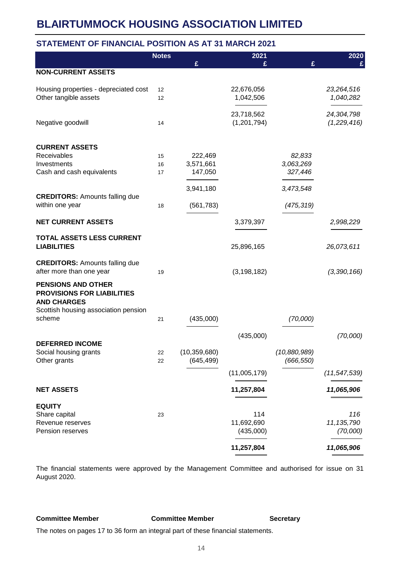# **STATEMENT OF FINANCIAL POSITION AS AT 31 MARCH 2021**

|                                                         | <b>Notes</b> |                | 2021          |              | 2020           |
|---------------------------------------------------------|--------------|----------------|---------------|--------------|----------------|
|                                                         |              | £              | £             | £            | £              |
| <b>NON-CURRENT ASSETS</b>                               |              |                |               |              |                |
| Housing properties - depreciated cost                   | 12           |                | 22,676,056    |              | 23,264,516     |
| Other tangible assets                                   | 12           |                | 1,042,506     |              | 1,040,282      |
|                                                         |              |                | 23,718,562    |              | 24,304,798     |
| Negative goodwill                                       | 14           |                | (1,201,794)   |              | (1,229,416)    |
| <b>CURRENT ASSETS</b>                                   |              |                |               |              |                |
| Receivables                                             | 15           | 222,469        |               | 82,833       |                |
| Investments                                             | 16           | 3,571,661      |               | 3,063,269    |                |
| Cash and cash equivalents                               | 17           | 147,050        |               | 327,446      |                |
|                                                         |              | 3,941,180      |               | 3,473,548    |                |
| <b>CREDITORS: Amounts falling due</b>                   |              |                |               |              |                |
| within one year                                         | 18           | (561, 783)     |               | (475, 319)   |                |
| <b>NET CURRENT ASSETS</b>                               |              |                | 3,379,397     |              | 2,998,229      |
| <b>TOTAL ASSETS LESS CURRENT</b>                        |              |                |               |              |                |
| <b>LIABILITIES</b>                                      |              |                | 25,896,165    |              | 26,073,611     |
| <b>CREDITORS: Amounts falling due</b>                   |              |                |               |              |                |
| after more than one year                                | 19           |                | (3, 198, 182) |              | (3,390,166)    |
| <b>PENSIONS AND OTHER</b>                               |              |                |               |              |                |
| <b>PROVISIONS FOR LIABILITIES</b><br><b>AND CHARGES</b> |              |                |               |              |                |
| Scottish housing association pension                    |              |                |               |              |                |
| scheme                                                  | 21           | (435,000)      |               | (70,000)     |                |
|                                                         |              |                |               |              |                |
| <b>DEFERRED INCOME</b>                                  |              |                | (435,000)     |              | (70,000)       |
| Social housing grants                                   | 22           | (10, 359, 680) |               | (10,880,989) |                |
| Other grants                                            | 22           | (645, 499)     |               | (666, 550)   |                |
|                                                         |              |                | (11,005,179)  |              | (11, 547, 539) |
| <b>NET ASSETS</b>                                       |              |                | 11,257,804    |              | 11,065,906     |
| <b>EQUITY</b>                                           |              |                |               |              |                |
| Share capital                                           | 23           |                | 114           |              | 116            |
| Revenue reserves                                        |              |                | 11,692,690    |              | 11, 135, 790   |
| Pension reserves                                        |              |                | (435,000)     |              | (70,000)       |
|                                                         |              |                | 11,257,804    |              | 11,065,906     |

The financial statements were approved by the Management Committee and authorised for issue on 31 August 2020.

**Committee Member Committee Member Secretary**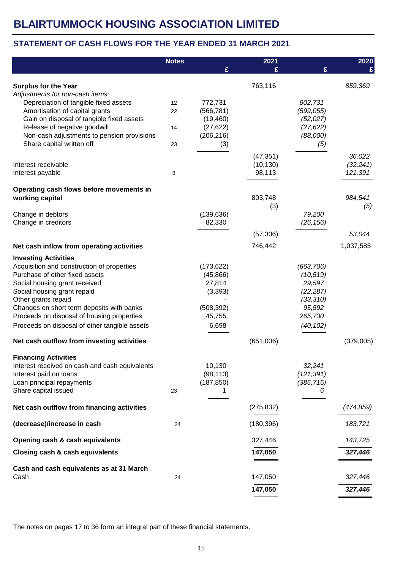# **STATEMENT OF CASH FLOWS FOR THE YEAR ENDED 31 MARCH 2021**

|                                                                                                                                                                                                                                                                                                                                                | <b>Notes</b> |                                                                                | 2021                   |                                                                                               | 2020                |
|------------------------------------------------------------------------------------------------------------------------------------------------------------------------------------------------------------------------------------------------------------------------------------------------------------------------------------------------|--------------|--------------------------------------------------------------------------------|------------------------|-----------------------------------------------------------------------------------------------|---------------------|
|                                                                                                                                                                                                                                                                                                                                                |              | £                                                                              | £                      | £                                                                                             |                     |
| <b>Surplus for the Year</b><br>Adjustments for non-cash items:                                                                                                                                                                                                                                                                                 |              |                                                                                | 763,116                |                                                                                               | 859,369             |
| Depreciation of tangible fixed assets<br>Amortisation of capital grants                                                                                                                                                                                                                                                                        | 12<br>22     | 772,731<br>(566, 781)                                                          |                        | 802,731<br>(599, 055)                                                                         |                     |
| Gain on disposal of tangible fixed assets<br>Release of negative goodwill                                                                                                                                                                                                                                                                      | 14           | (19, 460)<br>(27, 622)                                                         |                        | (52, 027)<br>(27, 622)                                                                        |                     |
| Non-cash adjustments to pension provisions<br>Share capital written off                                                                                                                                                                                                                                                                        | 23           | (206, 216)<br>(3)                                                              |                        | (88,000)<br>(5)                                                                               |                     |
| Interest receivable                                                                                                                                                                                                                                                                                                                            |              |                                                                                | (47, 351)<br>(10, 130) |                                                                                               | 36,022<br>(32, 241) |
| Interest payable                                                                                                                                                                                                                                                                                                                               | 8            |                                                                                | 98,113                 |                                                                                               | 121,391             |
| Operating cash flows before movements in<br>working capital                                                                                                                                                                                                                                                                                    |              |                                                                                | 803,748                |                                                                                               | 984,541             |
|                                                                                                                                                                                                                                                                                                                                                |              |                                                                                | (3)                    |                                                                                               | (5)                 |
| Change in debtors<br>Change in creditors                                                                                                                                                                                                                                                                                                       |              | (139, 636)<br>82,330                                                           |                        | 79,200<br>(26, 156)                                                                           |                     |
|                                                                                                                                                                                                                                                                                                                                                |              |                                                                                | (57, 306)              |                                                                                               | 53,044              |
| Net cash inflow from operating activities                                                                                                                                                                                                                                                                                                      |              |                                                                                | 746,442                |                                                                                               | 1,037,585           |
| <b>Investing Activities</b><br>Acquisition and construction of properties<br>Purchase of other fixed assets<br>Social housing grant received<br>Social housing grant repaid<br>Other grants repaid<br>Changes on short term deposits with banks<br>Proceeds on disposal of housing properties<br>Proceeds on disposal of other tangible assets |              | (173, 622)<br>(45, 866)<br>27,814<br>(3, 393)<br>(508, 392)<br>45,755<br>6,698 |                        | (663, 706)<br>(10, 519)<br>29,597<br>(22, 287)<br>(33, 310)<br>95,592<br>265,730<br>(40, 102) |                     |
| Net cash outflow from investing activities                                                                                                                                                                                                                                                                                                     |              |                                                                                | (651,006)              |                                                                                               | (379,005)           |
| <b>Financing Activities</b><br>Interest received on cash and cash equivalents<br>Interest paid on loans<br>Loan principal repayments<br>Share capital issued                                                                                                                                                                                   | 23           | 10,130<br>(98, 113)<br>(187, 850)                                              |                        | 32,241<br>(121, 391)<br>(385, 715)<br>6                                                       |                     |
| Net cash outflow from financing activities                                                                                                                                                                                                                                                                                                     |              |                                                                                | (275, 832)             |                                                                                               | (474, 859)          |
| (decrease)/increase in cash                                                                                                                                                                                                                                                                                                                    | 24           |                                                                                | (180, 396)             |                                                                                               | 183,721             |
| Opening cash & cash equivalents                                                                                                                                                                                                                                                                                                                |              |                                                                                | 327,446                |                                                                                               | 143,725             |
| <b>Closing cash &amp; cash equivalents</b>                                                                                                                                                                                                                                                                                                     |              |                                                                                | 147,050                |                                                                                               | 327,446             |
| Cash and cash equivalents as at 31 March<br>Cash                                                                                                                                                                                                                                                                                               | 24           |                                                                                | 147,050                |                                                                                               | 327,446             |
|                                                                                                                                                                                                                                                                                                                                                |              |                                                                                | 147,050                |                                                                                               | 327,446             |
|                                                                                                                                                                                                                                                                                                                                                |              |                                                                                |                        |                                                                                               |                     |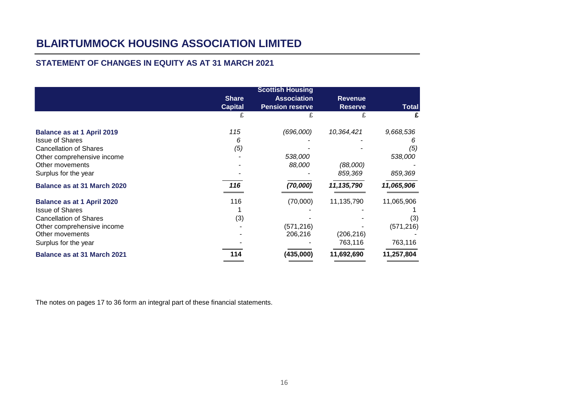# **STATEMENT OF CHANGES IN EQUITY AS AT 31 MARCH 2021**

|                                                                                                                                                                       | <b>Share</b><br><b>Capital</b> | <b>Scottish Housing</b><br><b>Association</b><br><b>Pension reserve</b> | <b>Revenue</b><br><b>Reserve</b>    | <b>Total</b>                               |
|-----------------------------------------------------------------------------------------------------------------------------------------------------------------------|--------------------------------|-------------------------------------------------------------------------|-------------------------------------|--------------------------------------------|
|                                                                                                                                                                       |                                |                                                                         |                                     |                                            |
| <b>Balance as at 1 April 2019</b>                                                                                                                                     | 115<br>6                       | (696,000)                                                               | 10,364,421                          | 9,668,536                                  |
| <b>Issue of Shares</b><br><b>Cancellation of Shares</b><br>Other comprehensive income                                                                                 | (5)                            | 538,000                                                                 |                                     | (5)<br>538,000                             |
| Other movements<br>Surplus for the year                                                                                                                               |                                | 88,000                                                                  | (88,000)<br>859,369                 | 859,369                                    |
| <b>Balance as at 31 March 2020</b>                                                                                                                                    | 116                            | (70,000)                                                                | 11,135,790                          | 11,065,906                                 |
| <b>Balance as at 1 April 2020</b><br><b>Issue of Shares</b><br><b>Cancellation of Shares</b><br>Other comprehensive income<br>Other movements<br>Surplus for the year | 116<br>(3)                     | (70,000)<br>(571, 216)<br>206,216                                       | 11,135,790<br>(206, 216)<br>763,116 | 11,065,906<br>(3)<br>(571, 216)<br>763,116 |
| <b>Balance as at 31 March 2021</b>                                                                                                                                    | 114                            | (435,000)                                                               | 11,692,690                          | 11,257,804                                 |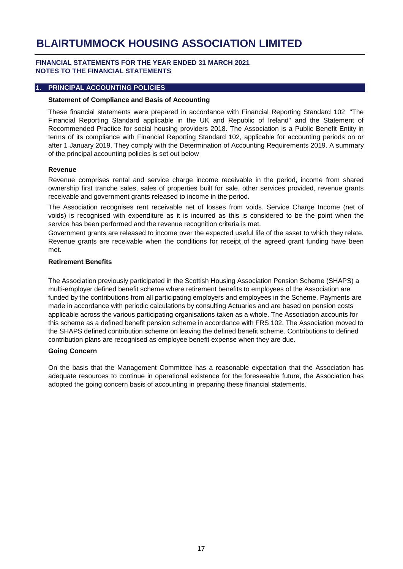### **FINANCIAL STATEMENTS FOR THE YEAR ENDED 31 MARCH 2021 NOTES TO THE FINANCIAL STATEMENTS**

#### **1. PRINCIPAL ACCOUNTING POLICIES**

#### **Statement of Compliance and Basis of Accounting**

These financial statements were prepared in accordance with Financial Reporting Standard 102 "The Financial Reporting Standard applicable in the UK and Republic of Ireland" and the Statement of Recommended Practice for social housing providers 2018. The Association is a Public Benefit Entity in terms of its compliance with Financial Reporting Standard 102, applicable for accounting periods on or after 1 January 2019. They comply with the Determination of Accounting Requirements 2019. A summary of the principal accounting policies is set out below

#### **Revenue**

Revenue comprises rental and service charge income receivable in the period, income from shared ownership first tranche sales, sales of properties built for sale, other services provided, revenue grants receivable and government grants released to income in the period.

The Association recognises rent receivable net of losses from voids. Service Charge Income (net of voids) is recognised with expenditure as it is incurred as this is considered to be the point when the service has been performed and the revenue recognition criteria is met.

Government grants are released to income over the expected useful life of the asset to which they relate. Revenue grants are receivable when the conditions for receipt of the agreed grant funding have been met.

#### **Retirement Benefits**

The Association previously participated in the Scottish Housing Association Pension Scheme (SHAPS) a multi-employer defined benefit scheme where retirement benefits to employees of the Association are funded by the contributions from all participating employers and employees in the Scheme. Payments are made in accordance with periodic calculations by consulting Actuaries and are based on pension costs applicable across the various participating organisations taken as a whole. The Association accounts for this scheme as a defined benefit pension scheme in accordance with FRS 102. The Association moved to the SHAPS defined contribution scheme on leaving the defined benefit scheme. Contributions to defined contribution plans are recognised as employee benefit expense when they are due.

#### **Going Concern**

On the basis that the Management Committee has a reasonable expectation that the Association has adequate resources to continue in operational existence for the foreseeable future, the Association has adopted the going concern basis of accounting in preparing these financial statements.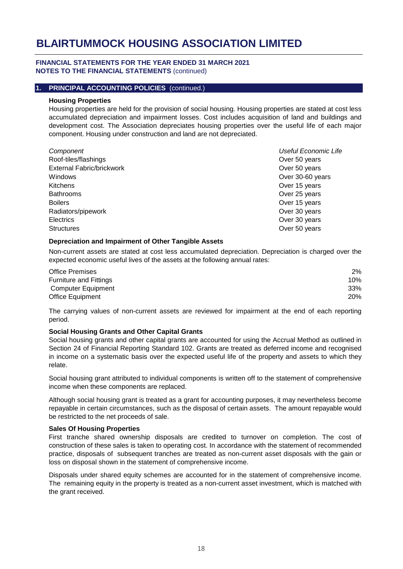#### **FINANCIAL STATEMENTS FOR THE YEAR ENDED 31 MARCH 2021 NOTES TO THE FINANCIAL STATEMENTS** (continued)

#### **1. PRINCIPAL ACCOUNTING POLICIES** (continued.)

#### **Housing Properties**

Housing properties are held for the provision of social housing. Housing properties are stated at cost less accumulated depreciation and impairment losses. Cost includes acquisition of land and buildings and development cost. The Association depreciates housing properties over the useful life of each major component. Housing under construction and land are not depreciated.

| Component                        | Useful Economic Life |
|----------------------------------|----------------------|
| Roof-tiles/flashings             | Over 50 years        |
| <b>External Fabric/brickwork</b> | Over 50 years        |
| Windows                          | Over 30-60 years     |
| <b>Kitchens</b>                  | Over 15 years        |
| <b>Bathrooms</b>                 | Over 25 years        |
| <b>Boilers</b>                   | Over 15 years        |
| Radiators/pipework               | Over 30 years        |
| <b>Electrics</b>                 | Over 30 years        |
| <b>Structures</b>                | Over 50 years        |

### **Depreciation and Impairment of Other Tangible Assets**

Non-current assets are stated at cost less accumulated depreciation. Depreciation is charged over the expected economic useful lives of the assets at the following annual rates:

| <b>Office Premises</b>        | 2%  |
|-------------------------------|-----|
| <b>Furniture and Fittings</b> | 10% |
| Computer Equipment            | 33% |
| <b>Office Equipment</b>       | 20% |

The carrying values of non-current assets are reviewed for impairment at the end of each reporting period.

#### **Social Housing Grants and Other Capital Grants**

Social housing grants and other capital grants are accounted for using the Accrual Method as outlined in Section 24 of Financial Reporting Standard 102. Grants are treated as deferred income and recognised in income on a systematic basis over the expected useful life of the property and assets to which they relate.

Social housing grant attributed to individual components is written off to the statement of comprehensive income when these components are replaced.

Although social housing grant is treated as a grant for accounting purposes, it may nevertheless become repayable in certain circumstances, such as the disposal of certain assets. The amount repayable would be restricted to the net proceeds of sale.

#### **Sales Of Housing Properties**

First tranche shared ownership disposals are credited to turnover on completion. The cost of construction of these sales is taken to operating cost. In accordance with the statement of recommended practice, disposals of subsequent tranches are treated as non-current asset disposals with the gain or loss on disposal shown in the statement of comprehensive income.

Disposals under shared equity schemes are accounted for in the statement of comprehensive income. The remaining equity in the property is treated as a non-current asset investment, which is matched with the grant received.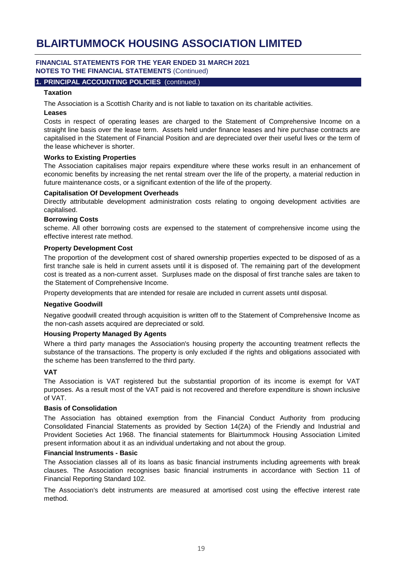### **FINANCIAL STATEMENTS FOR THE YEAR ENDED 31 MARCH 2021 NOTES TO THE FINANCIAL STATEMENTS** (Continued)

### **1. PRINCIPAL ACCOUNTING POLICIES** (continued.)

## **Taxation**

The Association is a Scottish Charity and is not liable to taxation on its charitable activities.

### **Leases**

Costs in respect of operating leases are charged to the Statement of Comprehensive Income on a straight line basis over the lease term. Assets held under finance leases and hire purchase contracts are capitalised in the Statement of Financial Position and are depreciated over their useful lives or the term of the lease whichever is shorter.

### **Works to Existing Properties**

The Association capitalises major repairs expenditure where these works result in an enhancement of economic benefits by increasing the net rental stream over the life of the property, a material reduction in future maintenance costs, or a significant extention of the life of the property.

### **Capitalisation Of Development Overheads**

Directly attributable development administration costs relating to ongoing development activities are capitalised.

### **Borrowing Costs**

scheme. All other borrowing costs are expensed to the statement of comprehensive income using the effective interest rate method.

### **Property Development Cost**

The proportion of the development cost of shared ownership properties expected to be disposed of as a first tranche sale is held in current assets until it is disposed of. The remaining part of the development cost is treated as a non-current asset. Surpluses made on the disposal of first tranche sales are taken to the Statement of Comprehensive Income.

Property developments that are intended for resale are included in current assets until disposal.

#### **Negative Goodwill**

Negative goodwill created through acquisition is written off to the Statement of Comprehensive Income as the non-cash assets acquired are depreciated or sold.

#### **Housing Property Managed By Agents**

Where a third party manages the Association's housing property the accounting treatment reflects the substance of the transactions. The property is only excluded if the rights and obligations associated with the scheme has been transferred to the third party.

## **VAT**

The Association is VAT registered but the substantial proportion of its income is exempt for VAT purposes. As a result most of the VAT paid is not recovered and therefore expenditure is shown inclusive of VAT.

#### **Basis of Consolidation**

The Association has obtained exemption from the Financial Conduct Authority from producing Consolidated Financial Statements as provided by Section 14(2A) of the Friendly and Industrial and Provident Societies Act 1968. The financial statements for Blairtummock Housing Association Limited present information about it as an individual undertaking and not about the group.

#### **Financial Instruments - Basic**

The Association classes all of its loans as basic financial instruments including agreements with break clauses. The Association recognises basic financial instruments in accordance with Section 11 of Financial Reporting Standard 102.

The Association's debt instruments are measured at amortised cost using the effective interest rate method.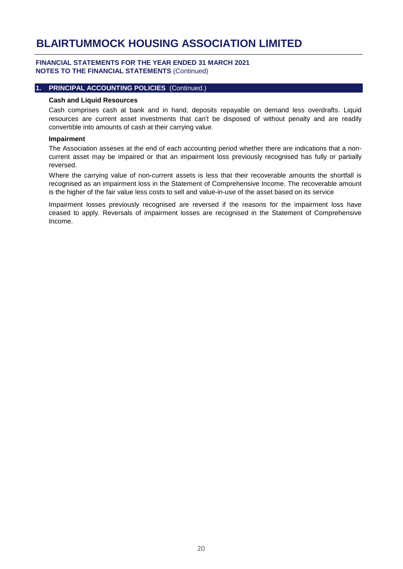### **FINANCIAL STATEMENTS FOR THE YEAR ENDED 31 MARCH 2021 NOTES TO THE FINANCIAL STATEMENTS** (Continued)

#### **1. PRINCIPAL ACCOUNTING POLICIES** (Continued.)

#### **Cash and Liquid Resources**

Cash comprises cash at bank and in hand, deposits repayable on demand less overdrafts. Liquid resources are current asset investments that can't be disposed of without penalty and are readily convertible into amounts of cash at their carrying value.

#### **Impairment**

The Association asseses at the end of each accounting period whether there are indications that a noncurrent asset may be impaired or that an impairment loss previously recognised has fully or partially reversed.

Where the carrying value of non-current assets is less that their recoverable amounts the shortfall is recognised as an impairment loss in the Statement of Comprehensive Income. The recoverable amount is the higher of the fair value less costs to sell and value-in-use of the asset based on its service

Impairment losses previously recognised are reversed if the reasons for the impairment loss have ceased to apply. Reversals of impairment losses are recognised in the Statement of Comprehensive Income.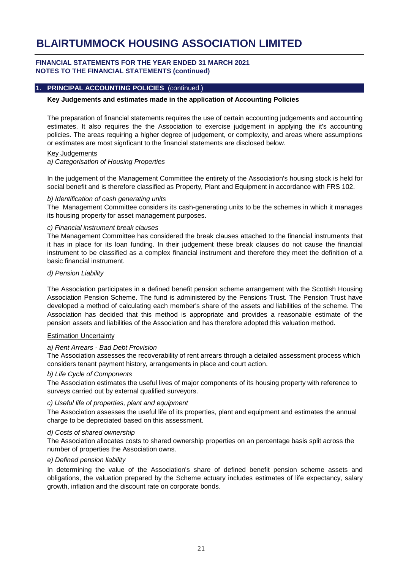### **FINANCIAL STATEMENTS FOR THE YEAR ENDED 31 MARCH 2021 NOTES TO THE FINANCIAL STATEMENTS (continued)**

#### **1. PRINCIPAL ACCOUNTING POLICIES** (continued.)

### **Key Judgements and estimates made in the application of Accounting Policies**

The preparation of financial statements requires the use of certain accounting judgements and accounting estimates. It also requires the the Association to exercise judgement in applying the it's accounting policies. The areas requiring a higher degree of judgement, or complexity, and areas where assumptions or estimates are most signficant to the financial statements are disclosed below.

#### Key Judgements

*a) Categorisation of Housing Properties*

In the judgement of the Management Committee the entirety of the Association's housing stock is held for social benefit and is therefore classified as Property, Plant and Equipment in accordance with FRS 102.

#### *b) Identification of cash generating units*

The Management Committee considers its cash-generating units to be the schemes in which it manages its housing property for asset management purposes.

### *c) Financial instrument break clauses*

The Management Committee has considered the break clauses attached to the financial instruments that it has in place for its loan funding. In their judgement these break clauses do not cause the financial instrument to be classified as a complex financial instrument and therefore they meet the definition of a basic financial instrument.

#### *d) Pension Liability*

The Association participates in a defined benefit pension scheme arrangement with the Scottish Housing Association Pension Scheme. The fund is administered by the Pensions Trust. The Pension Trust have developed a method of calculating each member's share of the assets and liabilities of the scheme. The Association has decided that this method is appropriate and provides a reasonable estimate of the pension assets and liabilities of the Association and has therefore adopted this valuation method.

## Estimation Uncertainty

## *a) Rent Arrears - Bad Debt Provision*

The Association assesses the recoverability of rent arrears through a detailed assessment process which considers tenant payment history, arrangements in place and court action.

## *b) Life Cycle of Components*

The Association estimates the useful lives of major components of its housing property with reference to surveys carried out by external qualified surveyors.

#### *c) Useful life of properties, plant and equipment*

The Association assesses the useful life of its properties, plant and equipment and estimates the annual charge to be depreciated based on this assessment.

#### *d) Costs of shared ownership*

The Association allocates costs to shared ownership properties on an percentage basis split across the number of properties the Association owns.

## *e) Defined pension liability*

In determining the value of the Association's share of defined benefit pension scheme assets and obligations, the valuation prepared by the Scheme actuary includes estimates of life expectancy, salary growth, inflation and the discount rate on corporate bonds.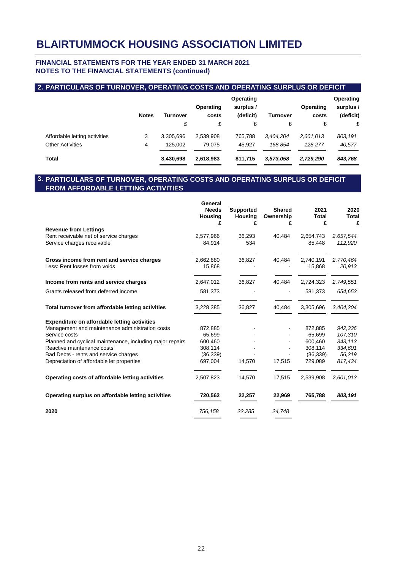## **FINANCIAL STATEMENTS FOR THE YEAR ENDED 31 MARCH 2021 NOTES TO THE FINANCIAL STATEMENTS (continued)**

# **2. PARTICULARS OF TURNOVER, OPERATING COSTS AND OPERATING SURPLUS OR DEFICIT**

|                               | <b>Notes</b> | <b>Turnover</b><br>£ | Operating<br>costs<br>£ | Operating<br>surplus /<br>(deficit)<br>£ | Turnover<br>£ | Operating<br>costs<br>£ | Operating<br>surplus /<br>(deficit)<br>£ |
|-------------------------------|--------------|----------------------|-------------------------|------------------------------------------|---------------|-------------------------|------------------------------------------|
| Affordable letting activities | 3            | 3.305.696            | 2,539,908               | 765,788                                  | 3.404.204     | 2,601,013               | 803,191                                  |
| <b>Other Activities</b>       | 4            | 125.002              | 79.075                  | 45.927                                   | 168.854       | 128,277                 | 40,577                                   |
| <b>Total</b>                  |              | 3,430,698            | 2,618,983               | 811,715                                  | 3,573,058     | 2,729,290               | 843,768                                  |

#### **3. PARTICULARS OF TURNOVER, OPERATING COSTS AND OPERATING SURPLUS OR DEFICIT FROM AFFORDABLE LETTING ACTIVITIES**

|                                                                            | General<br><b>Needs</b><br>Housing<br>£ | <b>Supported</b><br><b>Housing</b><br>£ | <b>Shared</b><br>Ownership<br>£ | 2021<br><b>Total</b><br>£ | 2020<br>Total<br>£   |
|----------------------------------------------------------------------------|-----------------------------------------|-----------------------------------------|---------------------------------|---------------------------|----------------------|
| <b>Revenue from Lettings</b>                                               |                                         |                                         |                                 |                           |                      |
| Rent receivable net of service charges<br>Service charges receivable       | 2,577,966<br>84,914                     | 36,293<br>534                           | 40,484                          | 2,654,743<br>85,448       | 2,657,544<br>112,920 |
| Gross income from rent and service charges<br>Less: Rent losses from voids | 2,662,880<br>15,868                     | 36,827                                  | 40,484                          | 2,740,191<br>15,868       | 2,770,464<br>20,913  |
|                                                                            |                                         |                                         |                                 |                           |                      |
| Income from rents and service charges                                      | 2,647,012                               | 36,827                                  | 40,484                          | 2,724,323                 | 2,749,551            |
| Grants released from deferred income                                       | 581,373                                 |                                         |                                 | 581,373                   | 654,653              |
| Total turnover from affordable letting activities                          | 3,228,385                               | 36,827                                  | 40,484                          | 3,305,696                 | 3,404,204            |
| <b>Expenditure on affordable letting activities</b>                        |                                         |                                         |                                 |                           |                      |
| Management and maintenance administration costs                            | 872,885                                 |                                         |                                 | 872,885                   | 942,336              |
| Service costs                                                              | 65,699                                  |                                         |                                 | 65,699                    | 107,310              |
| Planned and cyclical maintenance, including major repairs                  | 600,460                                 |                                         |                                 | 600,460                   | 343,113              |
| Reactive maintenance costs                                                 | 308,114                                 |                                         |                                 | 308,114                   | 334,601              |
| Bad Debts - rents and service charges                                      | (36, 339)                               |                                         |                                 | (36, 339)                 | 56,219               |
| Depreciation of affordable let properties                                  | 697,004                                 | 14,570                                  | 17,515                          | 729,089                   | 817,434              |
| Operating costs of affordable letting activities                           | 2,507,823                               | 14,570                                  | 17,515                          | 2,539,908                 | 2,601,013            |
| Operating surplus on affordable letting activities                         | 720,562                                 | 22,257                                  | 22,969                          | 765,788                   | 803,191              |
| 2020                                                                       | 756,158                                 | 22,285                                  | 24,748                          |                           |                      |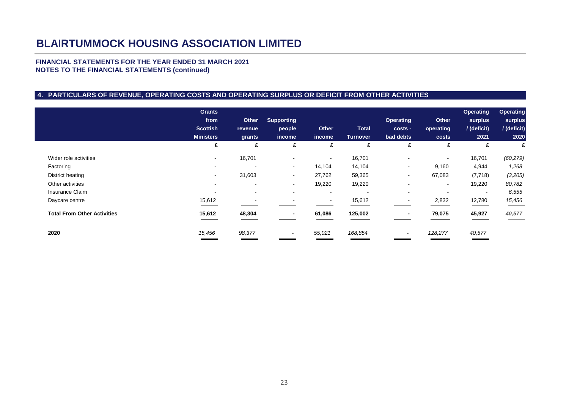### **FINANCIAL STATEMENTS FOR THE YEAR ENDED 31 MARCH 2021 NOTES TO THE FINANCIAL STATEMENTS (continued)**

# **4. PARTICULARS OF REVENUE, OPERATING COSTS AND OPERATING SURPLUS OR DEFICIT FROM OTHER ACTIVITIES**

|                                    | <b>Grants</b><br>from<br><b>Scottish</b><br><b>Ministers</b> | <b>Other</b><br>revenue<br>grants | <b>Supporting</b><br>people<br>income | <b>Other</b><br>income | <b>Total</b><br><b>Turnover</b> | <b>Operating</b><br>costs -<br>bad debts | <b>Other</b><br>operating<br>costs | <b>Operating</b><br>surplus<br>/ (deficit)<br>2021 | <b>Operating</b><br>surplus<br>/ (deficit)<br>2020 |
|------------------------------------|--------------------------------------------------------------|-----------------------------------|---------------------------------------|------------------------|---------------------------------|------------------------------------------|------------------------------------|----------------------------------------------------|----------------------------------------------------|
|                                    | £                                                            | £                                 | £                                     | £                      | £                               | £                                        | £                                  | £                                                  | £                                                  |
| Wider role activities              | $\,$                                                         | 16,701                            | $\overline{\phantom{a}}$              | $\,$                   | 16,701                          | $\blacksquare$                           | $\sim$                             | 16,701                                             | (60, 279)                                          |
| Factoring                          | $\overline{\phantom{a}}$                                     |                                   | $\overline{\phantom{a}}$              | 14,104                 | 14,104                          | $\sim$                                   | 9,160                              | 4,944                                              | 1,268                                              |
| District heating                   | $\sim$                                                       | 31,603                            | $\blacksquare$                        | 27,762                 | 59,365                          | $\sim$                                   | 67,083                             | (7, 718)                                           | (3,205)                                            |
| Other activities                   | $\overline{\phantom{a}}$                                     | $\overline{\phantom{a}}$          | $\blacksquare$                        | 19,220                 | 19,220                          | $\blacksquare$                           | $\sim$                             | 19,220                                             | 80,782                                             |
| Insurance Claim                    | $\overline{\phantom{a}}$                                     | $\blacksquare$                    | $\overline{\phantom{a}}$              | $\sim$                 | $\sim$                          | $\sim$                                   |                                    |                                                    | 6,555                                              |
| Daycare centre                     | 15,612                                                       | $\overline{\phantom{0}}$          | ٠                                     | $\sim$                 | 15,612                          | $\sim$                                   | 2,832                              | 12,780                                             | 15,456                                             |
| <b>Total From Other Activities</b> | 15,612                                                       | 48,304                            | $\blacksquare$                        | 61,086                 | 125,002                         |                                          | 79,075                             | 45,927                                             | 40,577                                             |
| 2020                               | 15,456                                                       | 98,377                            |                                       | 55,021                 | 168,854                         | $\overline{\phantom{0}}$                 | 128,277                            | 40,577                                             |                                                    |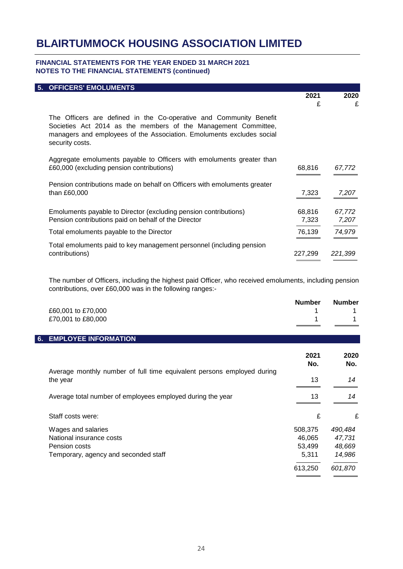### **FINANCIAL STATEMENTS FOR THE YEAR ENDED 31 MARCH 2021 NOTES TO THE FINANCIAL STATEMENTS (continued)**

| 5. OFFICERS' EMOLUMENTS                                                                                                                                                                                                          |         |         |
|----------------------------------------------------------------------------------------------------------------------------------------------------------------------------------------------------------------------------------|---------|---------|
|                                                                                                                                                                                                                                  | 2021    | 2020    |
|                                                                                                                                                                                                                                  | £       | £       |
| The Officers are defined in the Co-operative and Community Benefit<br>Societies Act 2014 as the members of the Management Committee,<br>managers and employees of the Association. Emoluments excludes social<br>security costs. |         |         |
| Aggregate emoluments payable to Officers with emoluments greater than<br>£60,000 (excluding pension contributions)                                                                                                               | 68,816  | 67,772  |
| Pension contributions made on behalf on Officers with emoluments greater                                                                                                                                                         |         |         |
| than £60,000                                                                                                                                                                                                                     | 7,323   | 7,207   |
|                                                                                                                                                                                                                                  |         |         |
| Emoluments payable to Director (excluding pension contributions)                                                                                                                                                                 | 68,816  | 67,772  |
| Pension contributions paid on behalf of the Director                                                                                                                                                                             | 7,323   | 7,207   |
| Total emoluments payable to the Director                                                                                                                                                                                         | 76,139  | 74,979  |
| Total emoluments paid to key management personnel (including pension<br>contributions)                                                                                                                                           | 227,299 | 221,399 |

The number of Officers, including the highest paid Officer, who received emoluments, including pension contributions, over £60,000 was in the following ranges:-

| £60,001 to £70,000<br>£70,001 to £80,000                                                                | <b>Number</b>                        | <b>Number</b>                         |
|---------------------------------------------------------------------------------------------------------|--------------------------------------|---------------------------------------|
| <b>EMPLOYEE INFORMATION</b><br>6.                                                                       |                                      |                                       |
|                                                                                                         | 2021<br>No.                          | 2020<br>No.                           |
| Average monthly number of full time equivalent persons employed during<br>the year                      | 13                                   | 14                                    |
| Average total number of employees employed during the year                                              | 13                                   | 14                                    |
| Staff costs were:                                                                                       | £                                    | £                                     |
| Wages and salaries<br>National insurance costs<br>Pension costs<br>Temporary, agency and seconded staff | 508,375<br>46,065<br>53,499<br>5,311 | 490,484<br>47,731<br>48,669<br>14,986 |
|                                                                                                         | 613,250                              | 601,870                               |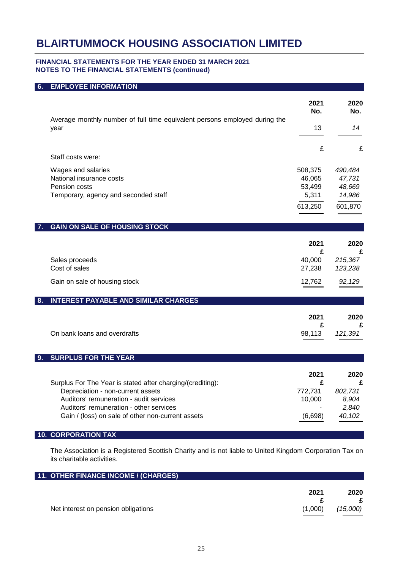### **FINANCIAL STATEMENTS FOR THE YEAR ENDED 31 MARCH 2021 NOTES TO THE FINANCIAL STATEMENTS (continued)**

# **6. EMPLOYEE INFORMATION**

|    | Average monthly number of full time equivalent persons employed during the                      | 2021<br>No. | 2020<br>No. |
|----|-------------------------------------------------------------------------------------------------|-------------|-------------|
|    | year                                                                                            | 13          | 14          |
|    |                                                                                                 | £           | £           |
|    | Staff costs were:                                                                               |             |             |
|    | Wages and salaries                                                                              | 508,375     | 490,484     |
|    | National insurance costs                                                                        | 46,065      | 47,731      |
|    | Pension costs                                                                                   | 53,499      | 48,669      |
|    | Temporary, agency and seconded staff                                                            | 5,311       | 14,986      |
|    |                                                                                                 | 613,250     | 601,870     |
| 7. | <b>GAIN ON SALE OF HOUSING STOCK</b>                                                            |             |             |
|    |                                                                                                 |             |             |
|    |                                                                                                 | 2021<br>£   | 2020<br>£   |
|    | Sales proceeds                                                                                  | 40,000      | 215,367     |
|    | Cost of sales                                                                                   | 27,238      | 123,238     |
|    |                                                                                                 |             |             |
|    | Gain on sale of housing stock                                                                   | 12,762      | 92,129      |
| 8. | <b>INTEREST PAYABLE AND SIMILAR CHARGES</b>                                                     |             |             |
|    |                                                                                                 | 2021        | 2020        |
|    |                                                                                                 | £           | £           |
|    | On bank loans and overdrafts                                                                    | 98,113      | 121,391     |
|    |                                                                                                 |             |             |
| 9. | <b>SURPLUS FOR THE YEAR</b>                                                                     |             |             |
|    |                                                                                                 |             |             |
|    |                                                                                                 | 2021<br>£   | 2020<br>£   |
|    | Surplus For The Year is stated after charging/(crediting):<br>Depreciation - non-current assets | 772,731     | 802,731     |
|    | Auditors' remuneration - audit services                                                         | 10,000      | 8,904       |
|    | Auditors' remuneration - other services                                                         |             | 2,840       |
|    | Gain / (loss) on sale of other non-current assets                                               | (6,698)     | 40,102      |
|    |                                                                                                 |             |             |
|    | <b>10. CORPORATION TAX</b>                                                                      |             |             |

The Association is a Registered Scottish Charity and is not liable to United Kingdom Corporation Tax on its charitable activities.

| 11. OTHER FINANCE INCOME / (CHARGES) |         |          |
|--------------------------------------|---------|----------|
|                                      |         |          |
|                                      | 2021    | 2020     |
|                                      |         |          |
| Net interest on pension obligations  | (1,000) | (15,000) |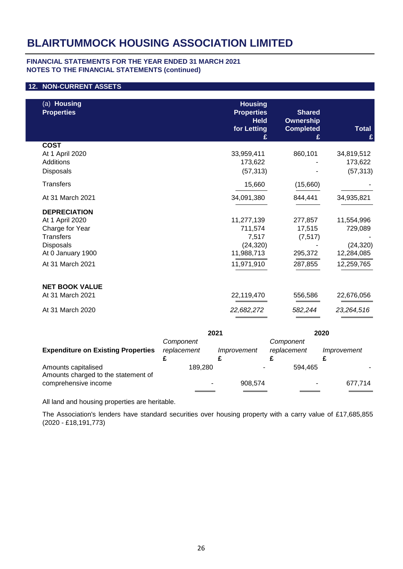## **FINANCIAL STATEMENTS FOR THE YEAR ENDED 31 MARCH 2021 NOTES TO THE FINANCIAL STATEMENTS (continued)**

## **12. NON-CURRENT ASSETS**

| (a) Housing<br><b>Properties</b> | <b>Housing</b><br><b>Properties</b><br><b>Held</b><br>for Letting | <b>Shared</b><br>Ownership<br><b>Completed</b> | <b>Total</b><br>£ |
|----------------------------------|-------------------------------------------------------------------|------------------------------------------------|-------------------|
| <b>COST</b>                      |                                                                   |                                                |                   |
| At 1 April 2020                  | 33,959,411                                                        | 860,101                                        | 34,819,512        |
| <b>Additions</b>                 | 173,622                                                           |                                                | 173,622           |
| Disposals                        | (57, 313)                                                         |                                                | (57, 313)         |
| <b>Transfers</b>                 | 15,660                                                            | (15,660)                                       |                   |
| At 31 March 2021                 | 34,091,380                                                        | 844,441                                        | 34,935,821        |
| <b>DEPRECIATION</b>              |                                                                   |                                                |                   |
| At 1 April 2020                  | 11,277,139                                                        | 277,857                                        | 11,554,996        |
| Charge for Year                  | 711,574                                                           | 17,515                                         | 729,089           |
| <b>Transfers</b>                 | 7,517                                                             | (7, 517)                                       |                   |
| Disposals                        | (24, 320)                                                         |                                                | (24, 320)         |
| At 0 January 1900                | 11,988,713                                                        | 295,372                                        | 12,284,085        |
| At 31 March 2021                 | 11,971,910                                                        | 287,855                                        | 12,259,765        |
| <b>NET BOOK VALUE</b>            |                                                                   |                                                |                   |
| At 31 March 2021                 | 22,119,470                                                        | 556,586                                        | 22,676,056        |
| At 31 March 2020                 | 22,682,272                                                        | 582,244                                        | 23,264,516        |

|                                                            |                          | 2021        |                          | 2020        |
|------------------------------------------------------------|--------------------------|-------------|--------------------------|-------------|
| <b>Expenditure on Existing Properties</b>                  | Component<br>replacement | Improvement | Component<br>replacement | Improvement |
| Amounts capitalised<br>Amounts charged to the statement of | 189.280                  |             | 594.465                  |             |
| comprehensive income                                       | ۰                        | 908.574     | ۰                        | 677,714     |

All land and housing properties are heritable.

The Association's lenders have standard securities over housing property with a carry value of £17,685,855 (2020 - £18,191,773)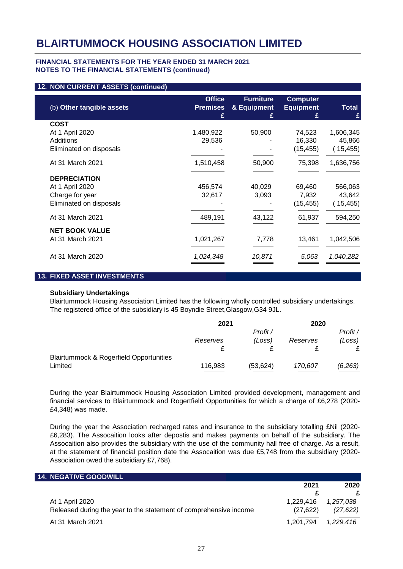#### **FINANCIAL STATEMENTS FOR THE YEAR ENDED 31 MARCH 2021 NOTES TO THE FINANCIAL STATEMENTS (continued)**

#### **12. NON CURRENT ASSETS (continued)**

| (b) Other tangible assets | <b>Office</b><br><b>Premises</b><br>£ | <b>Furniture</b><br>& Equipment<br>£ | <b>Computer</b><br><b>Equipment</b><br>£ | Total<br>£ |
|---------------------------|---------------------------------------|--------------------------------------|------------------------------------------|------------|
| <b>COST</b>               |                                       |                                      |                                          |            |
| At 1 April 2020           | 1,480,922                             | 50,900                               | 74,523                                   | 1,606,345  |
| Additions                 | 29,536                                |                                      | 16,330                                   | 45,866     |
| Eliminated on disposals   |                                       |                                      | (15, 455)                                | (15, 455)  |
| At 31 March 2021          | 1,510,458                             | 50,900                               | 75,398                                   | 1,636,756  |
| <b>DEPRECIATION</b>       |                                       |                                      |                                          |            |
| At 1 April 2020           | 456,574                               | 40,029                               | 69,460                                   | 566,063    |
| Charge for year           | 32,617                                | 3,093                                | 7,932                                    | 43,642     |
| Eliminated on disposals   |                                       |                                      | (15, 455)                                | (15, 455)  |
| At 31 March 2021          | 489,191                               | 43,122                               | 61,937                                   | 594,250    |
| <b>NET BOOK VALUE</b>     |                                       |                                      |                                          |            |
| At 31 March 2021          | 1,021,267                             | 7,778                                | 13,461                                   | 1,042,506  |
| At 31 March 2020          | 1,024,348                             | 10,871                               | 5,063                                    | 1,040,282  |
|                           |                                       |                                      |                                          |            |

#### **13. FIXED ASSET INVESTMENTS**

### **Subsidiary Undertakings**

Blairtummock Housing Association Limited has the following wholly controlled subsidiary undertakings. The registered office of the subsidiary is 45 Boyndie Street,Glasgow,G34 9JL.

|                                                    | 2021     |           | 2020     |          |
|----------------------------------------------------|----------|-----------|----------|----------|
|                                                    |          | Profit /  |          | Profit / |
|                                                    | Reserves | (Loss)    | Reserves | (Loss)   |
|                                                    |          |           |          | £        |
| <b>Blairtummock &amp; Rogerfield Opportunities</b> |          |           |          |          |
| Limited                                            | 116,983  | (53, 624) | 170,607  | (6,263)  |

During the year Blairtummock Housing Association Limited provided development, management and financial services to Blairtummock and Rogertfield Opportunities for which a charge of £6,278 (2020- £4,348) was made.

During the year the Association recharged rates and insurance to the subsidiary totalling £Nil (2020- £6,283). The Assocaition looks after depostis and makes payments on behalf of the subsidiary. The Assocaition also provides the subsidiary with the use of the community hall free of charge. As a result, at the statement of financial position date the Assocaition was due £5,748 from the subsidiary (2020- Association owed the subsidiary £7,768).

| <b>14. NEGATIVE GOODWILL</b>                                      |           |           |
|-------------------------------------------------------------------|-----------|-----------|
|                                                                   | 2021      | 2020      |
|                                                                   |           |           |
| At 1 April 2020                                                   | 1.229.416 | 1.257.038 |
| Released during the year to the statement of comprehensive income | (27, 622) | (27, 622) |
| At 31 March 2021                                                  | 1.201.794 | 1.229.416 |
|                                                                   |           |           |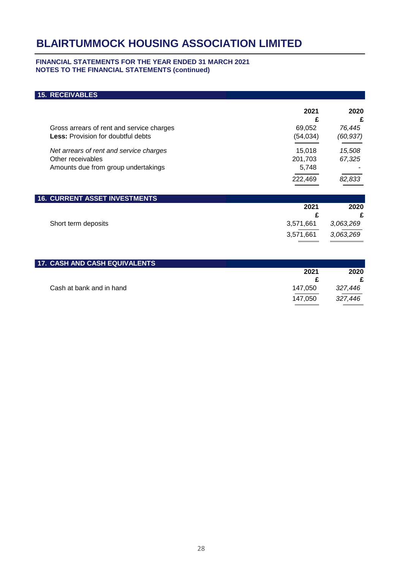### **FINANCIAL STATEMENTS FOR THE YEAR ENDED 31 MARCH 2021 NOTES TO THE FINANCIAL STATEMENTS (continued)**

# **15. RECEIVABLES 2021 2020 £ £** Gross arrears of rent and service charges **69,052 76,445 Less:** Provision for doubtful debts (54,034) *(60,937)*  $(54, 034)$ *Net arrears of rent and service charges* 15,018 15,018 15,508 Other receivables 67,325<br>Amounts due from group undertakings **201,703** 67,325 Amounts due from group undertakings **5,748 -**  $\sim$ l, 222,469 *82,833*  **16. CURRENT ASSET INVESTMENTS 2021 2020 £ £** Short term deposits 3,571,661 *3,063,269* 3,571,661 3,571,661 *3,063,269*

| <b>17. CASH AND CASH EQUIVALENTS</b> |         |         |
|--------------------------------------|---------|---------|
|                                      | 2021    | 2020    |
|                                      |         |         |
| Cash at bank and in hand             | 147.050 | 327,446 |
|                                      | 147.050 | 327.446 |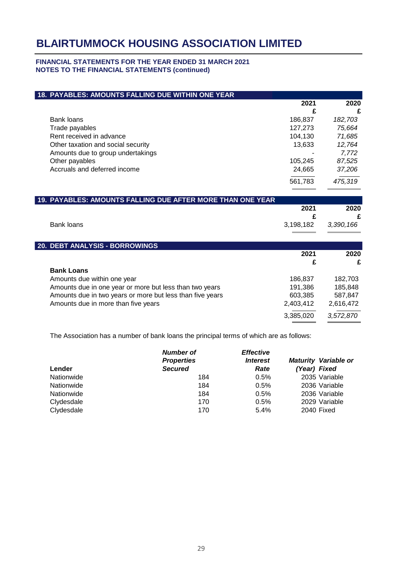## **FINANCIAL STATEMENTS FOR THE YEAR ENDED 31 MARCH 2021 NOTES TO THE FINANCIAL STATEMENTS (continued)**

| 18. PAYABLES: AMOUNTS FALLING DUE WITHIN ONE YEAR          |           |           |
|------------------------------------------------------------|-----------|-----------|
|                                                            | 2021      | 2020      |
|                                                            | £         | £         |
| <b>Bank loans</b>                                          | 186,837   | 182,703   |
| Trade payables                                             | 127,273   | 75,664    |
| Rent received in advance                                   | 104,130   | 71,685    |
| Other taxation and social security                         | 13,633    | 12,764    |
| Amounts due to group undertakings                          |           | 7,772     |
| Other payables                                             | 105,245   | 87,525    |
| Accruals and deferred income                               | 24,665    | 37,206    |
|                                                            | 561,783   | 475,319   |
|                                                            |           |           |
| 19. PAYABLES: AMOUNTS FALLING DUE AFTER MORE THAN ONE YEAR |           |           |
|                                                            | 2021      | 2020      |
|                                                            | £         | £         |
| Bank loans                                                 | 3,198,182 | 3,390,166 |
|                                                            |           |           |
| 20. DEBT ANALYSIS - BORROWINGS                             |           |           |
|                                                            | 2021      | 2020      |
|                                                            | £         | £         |
| <b>Bank Loans</b>                                          |           |           |
| Amounts due within one year                                | 186,837   | 182,703   |
| Amounts due in one year or more but less than two years    | 191,386   | 185,848   |
| Amounts due in two years or more but less than five years  | 603,385   | 587,847   |
| Amounts due in more than five years                        | 2,403,412 | 2,616,472 |
|                                                            |           |           |
|                                                            | 3,385,020 | 3,572,870 |

The Association has a number of bank loans the principal terms of which are as follows:

|            | <b>Number of</b><br><b>Properties</b> | <b>Effective</b><br><i><b>Interest</b></i> | <b>Maturity Variable or</b> |
|------------|---------------------------------------|--------------------------------------------|-----------------------------|
| Lender     | <b>Secured</b>                        | Rate                                       | (Year) Fixed                |
| Nationwide | 184                                   | 0.5%                                       | 2035 Variable               |
| Nationwide | 184                                   | 0.5%                                       | 2036 Variable               |
| Nationwide | 184                                   | 0.5%                                       | 2036 Variable               |
| Clydesdale | 170                                   | 0.5%                                       | 2029 Variable               |
| Clydesdale | 170                                   | 5.4%                                       | 2040 Fixed                  |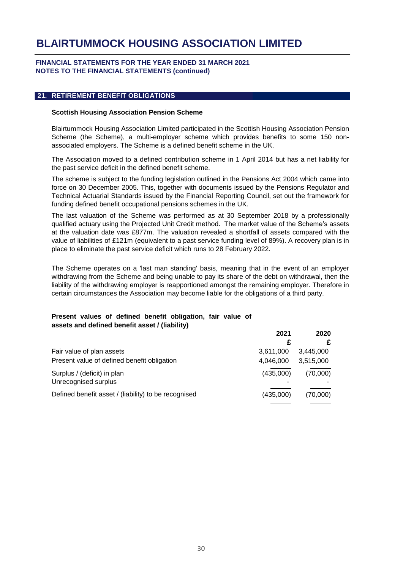### **FINANCIAL STATEMENTS FOR THE YEAR ENDED 31 MARCH 2021 NOTES TO THE FINANCIAL STATEMENTS (continued)**

### **21. RETIREMENT BENEFIT OBLIGATIONS**

#### **Scottish Housing Association Pension Scheme**

Blairtummock Housing Association Limited participated in the Scottish Housing Association Pension Scheme (the Scheme), a multi-employer scheme which provides benefits to some 150 nonassociated employers. The Scheme is a defined benefit scheme in the UK.

The Association moved to a defined contribution scheme in 1 April 2014 but has a net liability for the past service deficit in the defined benefit scheme.

The scheme is subject to the funding legislation outlined in the Pensions Act 2004 which came into force on 30 December 2005. This, together with documents issued by the Pensions Regulator and Technical Actuarial Standards issued by the Financial Reporting Council, set out the framework for funding defined benefit occupational pensions schemes in the UK.

The last valuation of the Scheme was performed as at 30 September 2018 by a professionally qualified actuary using the Projected Unit Credit method. The market value of the Scheme's assets at the valuation date was £877m. The valuation revealed a shortfall of assets compared with the value of liabilities of £121m (equivalent to a past service funding level of 89%). A recovery plan is in place to eliminate the past service deficit which runs to 28 February 2022.

The Scheme operates on a 'last man standing' basis, meaning that in the event of an employer withdrawing from the Scheme and being unable to pay its share of the debt on withdrawal, then the liability of the withdrawing employer is reapportioned amongst the remaining employer. Therefore in certain circumstances the Association may become liable for the obligations of a third party.

## **Present values of defined benefit obligation, fair value of assets and defined benefit asset / (liability)**

|                                                      | 2021      | 2020      |
|------------------------------------------------------|-----------|-----------|
|                                                      |           |           |
| Fair value of plan assets                            | 3,611,000 | 3,445,000 |
| Present value of defined benefit obligation          | 4,046,000 | 3,515,000 |
| Surplus / (deficit) in plan<br>Unrecognised surplus  | (435,000) | (70,000)  |
| Defined benefit asset / (liability) to be recognised | (435,000) | (70,000)  |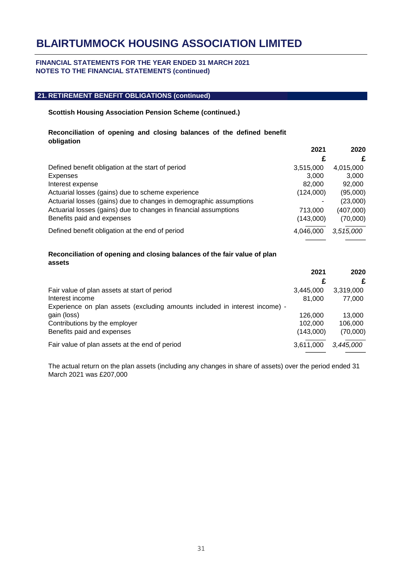### **FINANCIAL STATEMENTS FOR THE YEAR ENDED 31 MARCH 2021 NOTES TO THE FINANCIAL STATEMENTS (continued)**

### **21. RETIREMENT BENEFIT OBLIGATIONS (continued)**

### **Scottish Housing Association Pension Scheme (continued.)**

## **Reconciliation of opening and closing balances of the defined benefit obligation**

|                                                                    | 2021      | 2020      |
|--------------------------------------------------------------------|-----------|-----------|
|                                                                    | £         | £         |
| Defined benefit obligation at the start of period                  | 3,515,000 | 4,015,000 |
| Expenses                                                           | 3,000     | 3,000     |
| Interest expense                                                   | 82,000    | 92,000    |
| Actuarial losses (gains) due to scheme experience                  | (124,000) | (95,000)  |
| Actuarial losses (gains) due to changes in demographic assumptions |           | (23,000)  |
| Actuarial losses (gains) due to changes in financial assumptions   | 713,000   | (407,000) |
| Benefits paid and expenses                                         | (143,000) | (70,000)  |
| Defined benefit obligation at the end of period                    | 4,046,000 | 3,515,000 |
|                                                                    |           |           |

## **Reconciliation of opening and closing balances of the fair value of plan assets**

|                                                                             | 2021      | 2020      |
|-----------------------------------------------------------------------------|-----------|-----------|
|                                                                             | £         | £         |
| Fair value of plan assets at start of period                                | 3,445,000 | 3,319,000 |
| Interest income                                                             | 81,000    | 77,000    |
| Experience on plan assets (excluding amounts included in interest income) - |           |           |
| gain (loss)                                                                 | 126,000   | 13,000    |
| Contributions by the employer                                               | 102.000   | 106,000   |
| Benefits paid and expenses                                                  | (143,000) | (70,000)  |
| Fair value of plan assets at the end of period                              | 3.611.000 | 3,445,000 |

The actual return on the plan assets (including any changes in share of assets) over the period ended 31 March 2021 was £207,000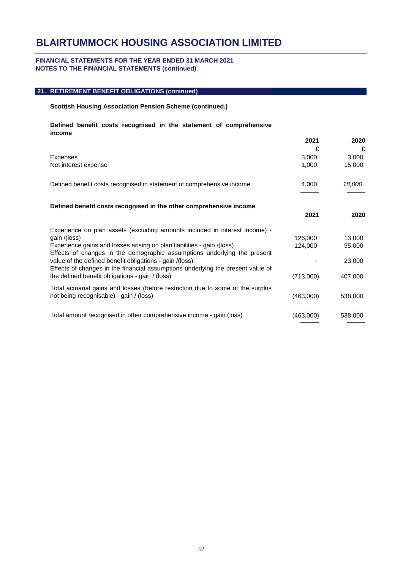#### **FINANCIAL STATEMENTS FOR THE YEAR ENDED 31 MARCH 2021 NOTES TO THE FINANCIAL STATEMENTS (continued)**

## **21. RETIREMENT BENEFIT OBLIGATIONS (coninued)**

#### **Scottish Housing Association Pension Scheme (continued.)**

#### **Defined benefit costs recognised in the statement of comprehensive income**

|                                                                                                                                                    | 2021      | 2020    |
|----------------------------------------------------------------------------------------------------------------------------------------------------|-----------|---------|
|                                                                                                                                                    | £         | £       |
| Expenses                                                                                                                                           | 3,000     | 3,000   |
| Net interest expense                                                                                                                               | 1,000     | 15,000  |
| Defined benefit costs recognised in statement of comprehensive income                                                                              | 4,000     | 18,000  |
|                                                                                                                                                    |           |         |
| Defined benefit costs recognised in the other comprehensive income                                                                                 |           |         |
|                                                                                                                                                    | 2021      | 2020    |
| Experience on plan assets (excluding amounts included in interest income) -                                                                        |           |         |
| gain /(loss)                                                                                                                                       | 126,000   | 13,000  |
| Experience gains and losses arising on plan liabilities - gain /(loss)<br>Effects of changes in the demographic assumptions underlying the present | 124,000   | 95,000  |
| value of the defined benefit obligations - gain /(loss)<br>Effects of changes in the financial assumptions underlying the present value of         |           | 23,000  |
| the defined benefit obligations - gain / (loss)                                                                                                    | (713,000) | 407,000 |
| Total actuarial gains and losses (before restriction due to some of the surplus                                                                    |           |         |
| not being recognisable) - gain / (loss)                                                                                                            | (463,000) | 538,000 |
| Total amount recognised in other comprehensive income - gain (loss)                                                                                | (463,000) | 538,000 |
|                                                                                                                                                    |           |         |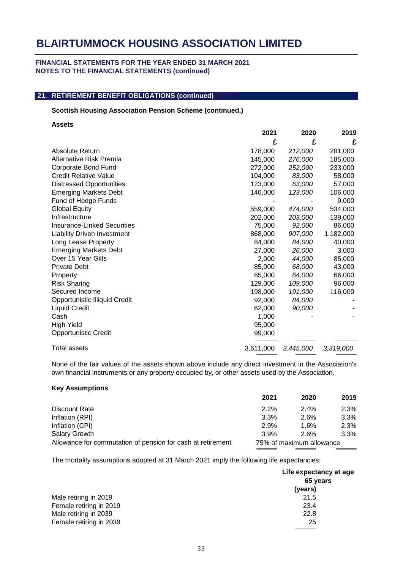### **FINANCIAL STATEMENTS FOR THE YEAR ENDED 31 MARCH 2021 NOTES TO THE FINANCIAL STATEMENTS (continued)**

# **21. RETIREMENT BENEFIT OBLIGATIONS (continued)**

### **Scottish Housing Association Pension Scheme (continued.)**

**Assets**

|                                    | 2021      | 2020      | 2019      |
|------------------------------------|-----------|-----------|-----------|
|                                    | £         | £         | £         |
| Absolute Return                    | 178,000   | 212,000   | 281,000   |
| Alternative Risk Premia            | 145,000   | 276,000   | 185,000   |
| Corporate Bond Fund                | 272,000   | 252,000   | 233,000   |
| <b>Credit Relative Value</b>       | 104,000   | 83,000    | 58,000    |
| <b>Distressed Opportunities</b>    | 123,000   | 63,000    | 57,000    |
| <b>Emerging Markets Debt</b>       | 146,000   | 123,000   | 106,000   |
| Fund of Hedge Funds                |           |           | 9,000     |
| <b>Global Equity</b>               | 559,000   | 474,000   | 534,000   |
| Infrastructure                     | 202,000   | 203,000   | 139,000   |
| <b>Insurance-Linked Securities</b> | 75,000    | 92,000    | 86,000    |
| <b>Liability Driven Investment</b> | 868,000   | 907,000   | 1,182,000 |
| Long Lease Property                | 84,000    | 84,000    | 40,000    |
| <b>Emerging Markets Debt</b>       | 27,000    | 26,000    | 3,000     |
| Over 15 Year Gilts                 | 2,000     | 44,000    | 85,000    |
| <b>Private Debt</b>                | 85,000    | 68,000    | 43,000    |
| Property                           | 65,000    | 64,000    | 66,000    |
| <b>Risk Sharing</b>                | 129,000   | 109,000   | 96,000    |
| Secured Income                     | 198,000   | 191,000   | 116,000   |
| Opportunistic Illiquid Credit      | 92,000    | 84,000    |           |
| <b>Liquid Credit</b>               | 62,000    | 90,000    |           |
| Cash                               | 1,000     |           |           |
| <b>High Yield</b>                  | 95,000    |           |           |
| <b>Opportunistic Credit</b>        | 99,000    |           |           |
| Total assets                       | 3,611,000 | 3,445,000 | 3,319,000 |

None of the fair values of the assets shown above include any direct investment in the Association's own financial instruments or any property occupied by, or other assets used by the Association.

#### **Key Assumptions**

|                                                             | 2021                     | 2020    | 2019 |
|-------------------------------------------------------------|--------------------------|---------|------|
| Discount Rate                                               | 2.2%                     | $2.4\%$ | 2.3% |
| Inflation (RPI)                                             | 3.3%                     | 2.6%    | 3.3% |
| Inflation (CPI)                                             | 2.9%                     | 1.6%    | 2.3% |
| <b>Salary Growth</b>                                        | 3.9%                     | 2.6%    | 3.3% |
| Allowance for commutation of pension for cash at retirement | 75% of maximum allowance |         |      |

The mortality assumptions adopted at 31 March 2021 imply the following life expectancies:

|                         | Life expectancy at age |  |
|-------------------------|------------------------|--|
|                         | 65 years               |  |
|                         | (years)                |  |
| Male retiring in 2019   | 21.5                   |  |
| Female retiring in 2019 | 23.4                   |  |
| Male retiring in 2039   | 22.8                   |  |
| Female retiring in 2039 | 25                     |  |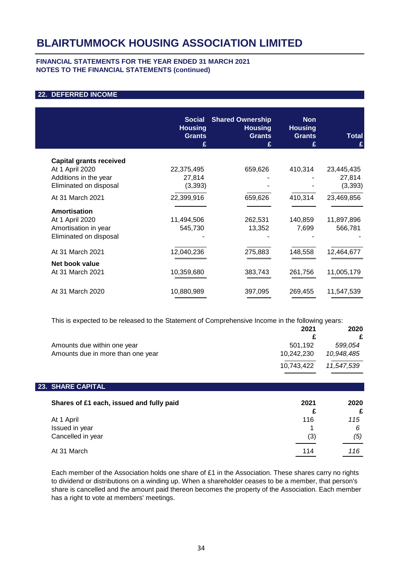## **FINANCIAL STATEMENTS FOR THE YEAR ENDED 31 MARCH 2021 NOTES TO THE FINANCIAL STATEMENTS (continued)**

# **22. DEFERRED INCOME**

| <b>Social</b><br><b>Housing</b><br><b>Grants</b> | <b>Shared Ownership</b><br><b>Housing</b><br><b>Grants</b>      | <b>Non</b><br><b>Housing</b><br><b>Grants</b>           | <b>Total</b>                                           |
|--------------------------------------------------|-----------------------------------------------------------------|---------------------------------------------------------|--------------------------------------------------------|
|                                                  |                                                                 |                                                         |                                                        |
|                                                  |                                                                 |                                                         |                                                        |
| 22,375,495                                       | 659,626                                                         | 410,314                                                 | 23,445,435                                             |
| 27,814                                           |                                                                 |                                                         | 27,814                                                 |
| (3, 393)                                         |                                                                 |                                                         | (3, 393)                                               |
| 22,399,916                                       | 659,626                                                         | 410,314                                                 | 23,469,856                                             |
|                                                  |                                                                 |                                                         |                                                        |
|                                                  |                                                                 |                                                         | 11,897,896                                             |
|                                                  |                                                                 |                                                         | 566,781                                                |
|                                                  |                                                                 |                                                         |                                                        |
|                                                  |                                                                 |                                                         | 12,464,677                                             |
|                                                  |                                                                 |                                                         |                                                        |
|                                                  |                                                                 |                                                         |                                                        |
|                                                  |                                                                 |                                                         | 11,005,179                                             |
|                                                  |                                                                 |                                                         | 11,547,539                                             |
|                                                  | 11,494,506<br>545,730<br>12,040,236<br>10,359,680<br>10,880,989 | £<br>262,531<br>13,352<br>275,883<br>383,743<br>397,095 | £<br>140,859<br>7,699<br>148,558<br>261,756<br>269,455 |

This is expected to be released to the Statement of Comprehensive Income in the following years:

|                                   | 2021       | 2020       |
|-----------------------------------|------------|------------|
|                                   |            | £          |
| Amounts due within one year       | 501.192    | 599.054    |
| Amounts due in more than one year | 10,242,230 | 10,948,485 |
|                                   | 10,743,422 | 11.547.539 |
|                                   |            |            |

| <b>23. SHARE CAPITAL</b>                 |      |      |
|------------------------------------------|------|------|
| Shares of £1 each, issued and fully paid | 2021 | 2020 |
|                                          |      | £    |
| At 1 April                               | 116  | 115  |
| Issued in year                           |      | 6    |
| Cancelled in year                        | (3)  | (5)  |
| At 31 March                              | 114  | 116  |

Each member of the Association holds one share of £1 in the Association. These shares carry no rights to dividend or distributions on a winding up. When a shareholder ceases to be a member, that person's share is cancelled and the amount paid thereon becomes the property of the Association. Each member has a right to vote at members' meetings.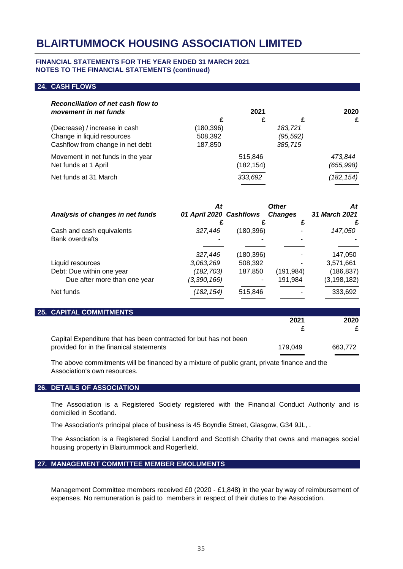### **FINANCIAL STATEMENTS FOR THE YEAR ENDED 31 MARCH 2021 NOTES TO THE FINANCIAL STATEMENTS (continued)**

### **24. CASH FLOWS**

| <b>Reconciliation of net cash flow to</b><br>movement in net funds |           | 2021       |           | 2020       |
|--------------------------------------------------------------------|-----------|------------|-----------|------------|
|                                                                    |           |            |           | £          |
| (Decrease) / increase in cash                                      | (180,396) |            | 183,721   |            |
| Change in liquid resources                                         | 508,392   |            | (95, 592) |            |
| Cashflow from change in net debt                                   | 187,850   |            | 385,715   |            |
| Movement in net funds in the year                                  |           | 515,846    |           | 473.844    |
| Net funds at 1 April                                               |           | (182, 154) |           | (655, 998) |
| Net funds at 31 March                                              |           | 333,692    |           | (182, 154) |
|                                                                    |           |            |           |            |

| At          |                      | <b>Other</b>                       | At<br>31 March 2021                      |
|-------------|----------------------|------------------------------------|------------------------------------------|
|             |                      |                                    |                                          |
| 327,446     |                      |                                    | 147,050                                  |
|             |                      |                                    |                                          |
|             |                      |                                    |                                          |
|             |                      |                                    | 147,050                                  |
|             |                      |                                    | 3,571,661                                |
| (182,703)   | 187,850              | (191, 984)                         | (186, 837)                               |
| (3,390,166) |                      | 191,984                            | (3, 198, 182)                            |
| (182, 154)  | 515,846              |                                    | 333,692                                  |
|             | 327,446<br>3,063,269 | 01 April 2020 Cashflows<br>508,392 | <b>Changes</b><br>(180,396)<br>(180,396) |

#### **25. CAPITAL COMMITMENTS**

|                                                                   | 2021    | 2020    |
|-------------------------------------------------------------------|---------|---------|
|                                                                   |         |         |
| Capital Expenditure that has been contracted for but has not been |         |         |
| provided for in the finanical statements                          | 179.049 | 663.772 |
|                                                                   |         |         |

The above commitments will be financed by a mixture of public grant, private finance and the Association's own resources.

#### **26. DETAILS OF ASSOCIATION**

The Association is a Registered Society registered with the Financial Conduct Authority and is domiciled in Scotland.

The Association's principal place of business is 45 Boyndie Street, Glasgow, G34 9JL, .

The Association is a Registered Social Landlord and Scottish Charity that owns and manages social housing property in Blairtummock and Rogerfield.

#### **27. MANAGEMENT COMMITTEE MEMBER EMOLUMENTS**

Management Committee members received £0 (2020 - £1,848) in the year by way of reimbursement of expenses. No remuneration is paid to members in respect of their duties to the Association.